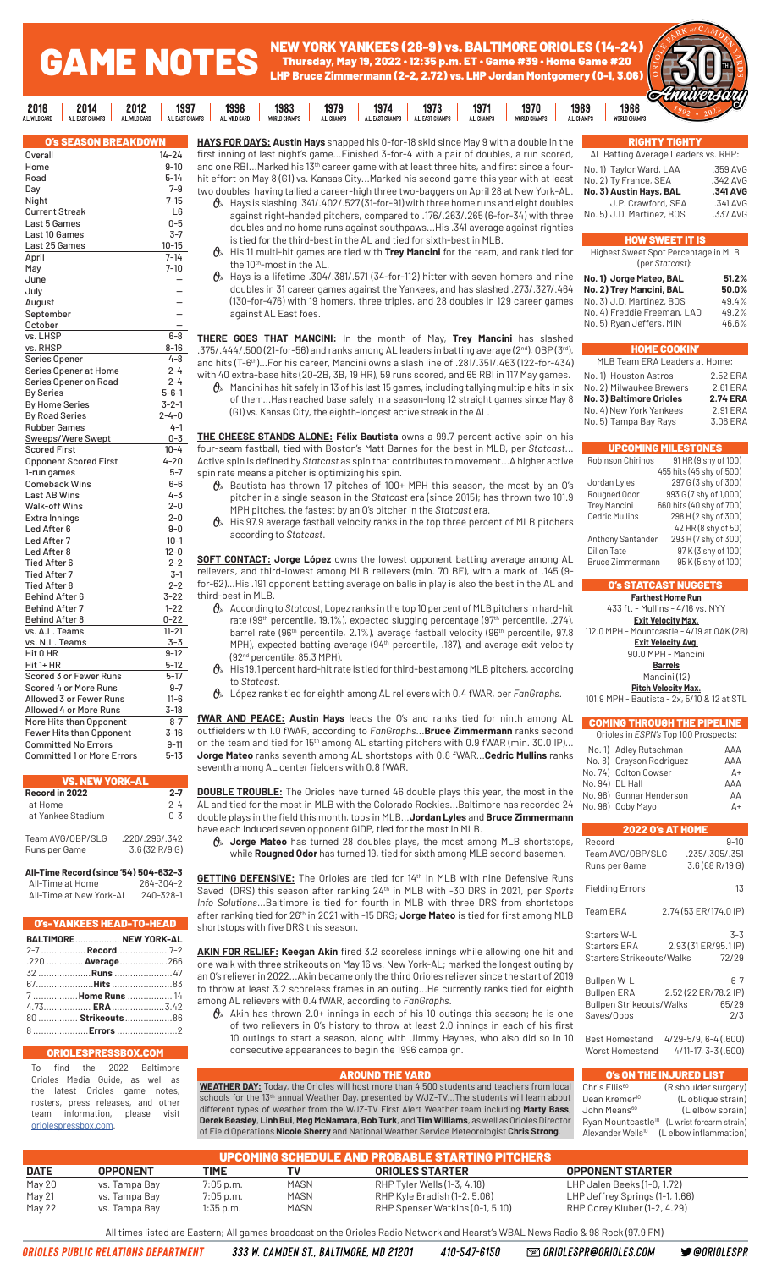#### GAME NOTES NEW YORK YANKEES (28-9) vs. BALTIMORE ORIOLES (14-24) Thursday, May 19, 2022 • 12:35 p.m. ET • Game #39 • Home Game #20 LHP Bruce Zimmermann (2-2, 2.72) vs. LHP Jordan Montgomery (0-1, 3.06)

1973

1971

1970

1969



| <b>O's SEASON BREAKDOWN</b>       |             |
|-----------------------------------|-------------|
| <b>Overall</b>                    | $14 - 24$   |
| Home                              | $9 - 10$    |
| Road                              | $5 - 14$    |
|                                   | $7 - 9$     |
| Day                               |             |
| Night                             | $7 - 15$    |
| Current Streak                    | L6          |
| Last 5 Games                      | 0-5         |
| Last 10 Games                     | $3-7$       |
| Last 25 Games                     | $10 - 15$   |
| April                             | $7 - 14$    |
| May                               | $7 - 10$    |
| June                              |             |
| July                              |             |
| August                            |             |
| September                         |             |
| October                           |             |
| vs. LHSP                          | $6 - 8$     |
| vs. RHSP                          | 8-16        |
| Series Opener                     | 4-8         |
| Series Opener at Home             | $2 - 4$     |
| Series Opener on Road             | $2 - 4$     |
| <b>By Series</b>                  | $5 - 6 - 1$ |
| <b>By Home Series</b>             | $3 - 2 - 1$ |
| <b>By Road Series</b>             | $2 - 4 - 0$ |
| <b>Rubber Games</b>               | $4 - 1$     |
| Sweeps/Were Swept                 | $0 - 3$     |
| <b>Scored First</b>               | $10 - 4$    |
| <b>Opponent Scored First</b>      | $4 - 20$    |
| 1-run games                       | $5 - 7$     |
| <b>Comeback Wins</b>              | $6-6$       |
| Last AB Wins                      | $4 - 3$     |
| <b>Walk-off Wins</b>              | $2 - 0$     |
| Extra Innings                     | $2 - 0$     |
| Led After 6                       | $9-0$       |
| Led After 7                       | $10 - 1$    |
| Led After 8                       | $12 - 0$    |
| Tied After 6                      | $2 - 2$     |
| <b>Tied After 7</b>               | 3-1         |
| <b>Tied After 8</b>               | $2 - 2$     |
|                                   | 3-22        |
| <b>Behind After 6</b>             |             |
| <b>Behind After 7</b>             | $1 - 22$    |
| <b>Behind After 8</b>             | $0 - 22$    |
| vs. A.L. Teams                    | $11 - 21$   |
| vs. N.L. Teams                    | 3-3         |
| Hit 0 HR                          | $9 - 12$    |
| Hit 1+ HR                         | 5-12        |
| Scored 3 or Fewer Runs            | $5-17$      |
| Scored 4 or More Runs             | $9 - 7$     |
| Allowed 3 or Fewer Runs           | $11 - 6$    |
| Allowed 4 or More Runs            | $3-18$      |
| More Hits than Opponent           | $8 - 7$     |
| Fewer Hits than Opponent          | 3-16        |
| <b>Committed No Errors</b>        | $9 - 11$    |
| <b>Committed 1 or More Errors</b> | $5 - 13$    |
|                                   |             |

 $2016$ 

2014

2012

1997

1996

1983

1979

| <b>VS. NEW YORK-AL</b>            |                                   |
|-----------------------------------|-----------------------------------|
| Record in 2022<br>at Home         | $2 - 7$<br>$2 - 4$                |
| at Yankee Stadium                 | $0 - 3$                           |
| Team AVG/OBP/SLG<br>Runs per Game | .2201.296/0.342<br>3.6 (32 R/9 G) |

**All-Time Record (since '54) 504-632-3** All-Time at Home All-Time at New York-AL 240-328-1

|                   | <b>O's-YANKEES HEAD-TO-HEAD</b> |
|-------------------|---------------------------------|
|                   | BALTIMORE NEW YORK-AL           |
|                   |                                 |
|                   | .220  Average 266               |
|                   | 32 <b>Runs</b> 47               |
| 67 <b>Hits</b> 83 |                                 |
| 7  Home Runs  14  |                                 |
|                   | $4.73$ <b>ERA</b> 3.42          |
|                   | 80  Strikeouts 86               |
|                   | $8 \t\t Frors \t\t 2$           |

### **ORIOLE**

To find the 2022 Baltimore Orioles Media Guide, as well as latest Orioles game notes, rosters, press releases, and other team information, please visit oriolespressbox.com.

**HAYS FOR DAYS: Austin Hays** snapped his 0-for-18 skid since May 9 with a double in the first inning of last night's game...Finished 3-for-4 with a pair of doubles, a run scored, and one RBI...Marked his 13<sup>th</sup> career game with at least three hits, and first since a fourhit effort on May 8 (G1) vs. Kansas City...Marked his second game this year with at least two doubles, having tallied a career-high three two-baggers on April 28 at New York-AL.

1974

 $\theta$  Hays is slashing .341/.402/.527 (31-for-91) with three home runs and eight doubles against right-handed pitchers, compared to .176/.263/.265 (6-for-34) with three doubles and no home runs against southpaws...His .341 average against righties is tied for the third-best in the AL and tied for sixth-best in MLB.

 His 11 multi-hit games are tied with **Trey Mancini** for the team, and rank tied for the 10th-most in the AL.

 $\theta$  Hays is a lifetime .304/.381/.571 (34-for-112) hitter with seven homers and nine doubles in 31 career games against the Yankees, and has slashed .273/.327/.464 (130-for-476) with 19 homers, three triples, and 28 doubles in 129 career games against AL East foes.

**THERE GOES THAT MANCINI:** In the month of May, **Trey Mancini** has slashed .375/.444/.500 (21-for-56) and ranks among AL leaders in batting average (2nd), OBP (3rd), and hits (T-6th)...For his career, Mancini owns a slash line of .281/.351/.463 (122-for-434) with 40 extra-base hits (20-2B, 3B, 19 HR), 59 runs scored, and 65 RBI in 117 May games.

 $\theta$  Mancini has hit safely in 13 of his last 15 games, including tallying multiple hits in six of them...Has reached base safely in a season-long 12 straight games since May 8 (G1) vs. Kansas City, the eighth-longest active streak in the AL.

**THE CHEESE STANDS ALONE: Félix Bautista** owns a 99.7 percent active spin on his four-seam fastball, tied with Boston's Matt Barnes for the best in MLB, per *Statcast*... Active spin is defined by *Statcast* as spin that contributes to movement...A higher active spin rate means a pitcher is optimizing his spin.

- $\theta$  Bautista has thrown 17 pitches of 100+ MPH this season, the most by an O's pitcher in a single season in the *Statcast* era (since 2015); has thrown two 101.9 MPH pitches, the fastest by an O's pitcher in the *Statcast* era.
- $\theta$  His 97.9 average fastball velocity ranks in the top three percent of MLB pitchers according to *Statcast*.

**SOFT CONTACT: Jorge López** owns the lowest opponent batting average among AL relievers, and third-lowest among MLB relievers (min. 70 BF), with a mark of .145 (9 for-62)...His .191 opponent batting average on balls in play is also the best in the AL and third-best in MLB.

 According to *Statcast*, López ranks in the top 10 percent of MLB pitchers in hard-hit rate (99<sup>th</sup> percentile, 19.1%), expected slugging percentage (97<sup>th</sup> percentile, .274), barrel rate (96<sup>th</sup> percentile, 2.1%), average fastball velocity (96<sup>th</sup> percentile, 97.8 MPH), expected batting average (94<sup>th</sup> percentile, .187), and average exit velocity (92nd percentile, 85.3 MPH).

 $\theta_*$  His 19.1 percent hard-hit rate is tied for third-best among MLB pitchers, according to *Statcast*.

López ranks tied for eighth among AL relievers with 0.4 fWAR, per *FanGraphs*.

**fWAR AND PEACE: Austin Hays** leads the O's and ranks tied for ninth among AL outfielders with 1.0 fWAR, according to *FanGraphs*...**Bruce Zimmermann** ranks second on the team and tied for 15<sup>th</sup> among AL starting pitchers with 0.9 fWAR (min. 30.0 IP).. **Jorge Mateo** ranks seventh among AL shortstops with 0.8 fWAR...**Cedric Mullins** ranks seventh among AL center fielders with 0.8 fWAR.

**DOUBLE TROUBLE:** The Orioles have turned 46 double plays this year, the most in the AL and tied for the most in MLB with the Colorado Rockies...Baltimore has recorded 24 double plays in the field this month, tops in MLB...**Jordan Lyles** and **Bruce Zimmermann**  have each induced seven opponent GIDP, tied for the most in MLB.

 **Jorge Mateo** has turned 28 doubles plays, the most among MLB shortstops, while **Rougned Odor** has turned 19, tied for sixth among MLB second basemen.

GETTING DEFENSIVE: The Orioles are tied for 14th in MLB with nine Defensive Runs Saved (DRS) this season after ranking 24<sup>th</sup> in MLB with -30 DRS in 2021, per *Sports Info Solutions*...Baltimore is tied for fourth in MLB with three DRS from shortstops after ranking tied for 26<sup>th</sup> in 2021 with -15 DRS; **Jorge Mateo** is tied for first among MLB shortstops with five DRS this season.

**AKIN FOR RELIEF: Keegan Akin** fired 3.2 scoreless innings while allowing one hit and one walk with three strikeouts on May 16 vs. New York-AL; marked the longest outing by an O's reliever in 2022...Akin became only the third Orioles reliever since the start of 2019 to throw at least 3.2 scoreless frames in an outing...He currently ranks tied for eighth among AL relievers with 0.4 fWAR, according to *FanGraphs*.

 $\mathcal{O}_s$  Akin has thrown 2.0+ innings in each of his 10 outings this season; he is one of two relievers in O's history to throw at least 2.0 innings in each of his first 10 outings to start a season, along with Jimmy Haynes, who also did so in 10 consecutive appearances to begin the 1996 campaign.

AROUND THE YARD **WEATHER DAY:** Today, the Orioles will host more than 4,500 students and teachers from local schools for the 13<sup>th</sup> annual Weather Day, presented by WJZ-TV...The students will learn about different types of weather from the WJZ-TV First Alert Weather team including **Marty Bass**, **Derek Beasley**, **Linh Bui**, **Meg McNamara**, **Bob Turk**, and **Tim Williams**, as well as Orioles Director of Field Operations **Nicole Sherry** and National Weather Service Meteorologist **Chris Strong**.

### Worst Homestand 4/11-17, 3-3 (.500) **O's ON THE INJURED LIST**<br>Chris Ellis<sup>60</sup> (R shoulder sur (R shoulder surgery) Dean Kremer<sup>10</sup> (L oblique strain) John Means<sup>60</sup> (Lelbow sprain) Ryan Mountcastle<sup>10</sup> (L wrist forearm strain) exander Wells<sup>10</sup> (L elbow inflammation)

|             | <b>UPCOMING SCHEDULE AND PROBABLE STARTING PITCHERS</b> |             |             |                                 |                                 |  |  |  |  |  |  |
|-------------|---------------------------------------------------------|-------------|-------------|---------------------------------|---------------------------------|--|--|--|--|--|--|
| <b>DATE</b> | <b>OPPONENT</b>                                         | <b>TIME</b> |             | <b>ORIOLES STARTER</b>          | <b>OPPONENT STARTER</b>         |  |  |  |  |  |  |
| May 20      | vs. Tampa Bay                                           | $7:05$ p.m. | <b>MASN</b> | RHP Tyler Wells (1-3, 4.18)     | LHP Jalen Beeks (1-0, 1.72)     |  |  |  |  |  |  |
| May 21      | vs. Tampa Bay                                           | $7:05$ p.m. | <b>MASN</b> | RHP Kyle Bradish (1-2, 5.06)    | LHP Jeffrey Springs (1-1, 1.66) |  |  |  |  |  |  |
| May 22      | vs. Tampa Bay                                           | $1:35$ p.m. | <b>MASN</b> | RHP Spenser Watkins (0-1, 5.10) | RHP Corey Kluber (1-2, 4.29)    |  |  |  |  |  |  |

All times listed are Eastern; All games broadcast on the Orioles Radio Network and Hearst's WBAL News Radio & 98 Rock (97.9 FM)

ORIOLES PUBLIC RELATIONS DEPARTMENT

333 W. CAMDEN ST., BALTIMORE, MD 21201 410-547-6150

**@ ORIOLESPR@ORIOLES.COM** 

**S** @ORIOLESPR

| <b>RIGHTY TIGHTY</b>                |          |
|-------------------------------------|----------|
| AL Batting Average Leaders vs. RHP: |          |
| No. 1) Taylor Ward, LAA             | .359 AVG |
| No. 2) Ty France, SEA               | .342 AVG |
| No. 3) Austin Hays, BAL             | .341 AVG |
| J.P. Crawford, SEA                  | .341 AVG |
| No. 5) J.D. Martinez, BOS           | .337 AVG |
|                                     |          |

### HOW SWEET IT IS

Highest Sweet Spot Percentage in MLB (per *Statcast*):

| No. 1) Jorge Mateo, BAL     | 51.2% |
|-----------------------------|-------|
| No. 2) Trey Mancini, BAL    | 50.0% |
| No. 3) J.D. Martinez, BOS   | 49.4% |
| No. 4) Freddie Freeman, LAD | 49.2% |
| No. 5) Ryan Jeffers, MIN    | 46.6% |

### HOME COOKIN'

| MLB Team ERA Leaders at Home:   |                 |  |  |  |  |  |  |
|---------------------------------|-----------------|--|--|--|--|--|--|
| No. 1) Houston Astros           | 2.52 ERA        |  |  |  |  |  |  |
| No. 2) Milwaukee Brewers        | 2.61 ERA        |  |  |  |  |  |  |
| <b>No. 3) Baltimore Orioles</b> | <b>2.74 ERA</b> |  |  |  |  |  |  |
| No. 4) New York Yankees         | 2.91 ERA        |  |  |  |  |  |  |
| No. 5) Tampa Bay Rays           | 3.06 ERA        |  |  |  |  |  |  |

|                         | <b>UPCOMING MILESTONES</b> |
|-------------------------|----------------------------|
| Robinson Chirinos       | 91 HR (9 shy of 100)       |
|                         | 455 hits (45 shy of 500)   |
| Jordan Lyles            | 297 G (3 shy of 300)       |
| Rougned Odor            | 993 G (7 shy of 1,000)     |
| <b>Trey Mancini</b>     | 660 hits (40 shy of 700)   |
| <b>Cedric Mullins</b>   | 298 H (2 shy of 300)       |
|                         | 42 HR (8 shy of 50)        |
| Anthony Santander       | 293 H (7 shy of 300)       |
| Dillon Tate             | 97 K (3 shy of 100)        |
| <b>Bruce Zimmermann</b> | 95 K (5 shy of 100)        |
|                         |                            |

### O's STATCAST NUGGETS

**Farthest Home Run** 433 ft. - Mullins - 4/16 vs. NYY **Exit Velocity Max.**

112.0 MPH - Mountcastle - 4/19 at OAK (2B) **Exit Velocity Avg.** 90.0 MPH - Mancini **Barrels** Mancini (12) **Pitch Velocity Max.** 101.9 MPH - Bautista - 2x, 5/10 & 12 at STL

COMING THROUGH THE PIPELINE Orioles in *ESPN's* Top 100 Prospects: No. 1) Adley Rutschman AAA

No. 74) Colton Cowser A+ No. 94) DL Hall AAA No. 96) Gunnar Henderson AA<br>No. 98) Coby Mayo A+

2022 O's AT HOME Record 9-10<br>Team AVG/OBP/SLG .235/.305/.351

Runs per Game 3.6 (68 R/19 G) Fielding Errors 13 Team ERA 2.74 (53 ER/174.0 IP)

Starters W-L<br>Starters ERA 2.93 (31 ER/ 95.1 IP)

Starters Strikeouts/Walks 72/29 Bullpen W-L 6-7 Bullpen ERA 2.52 (22 ER/78.2 IP) Bullpen Strikeouts/Walks 65/29 Saves/Opps 2/3 Best Homestand 4/29-5/9, 6-4 (.600)

2.93 (31 ER/95.1 IP)

No. 8) Grayson Rodriguez

No. 98) Coby Mayo

Team AVG/OBP/SLG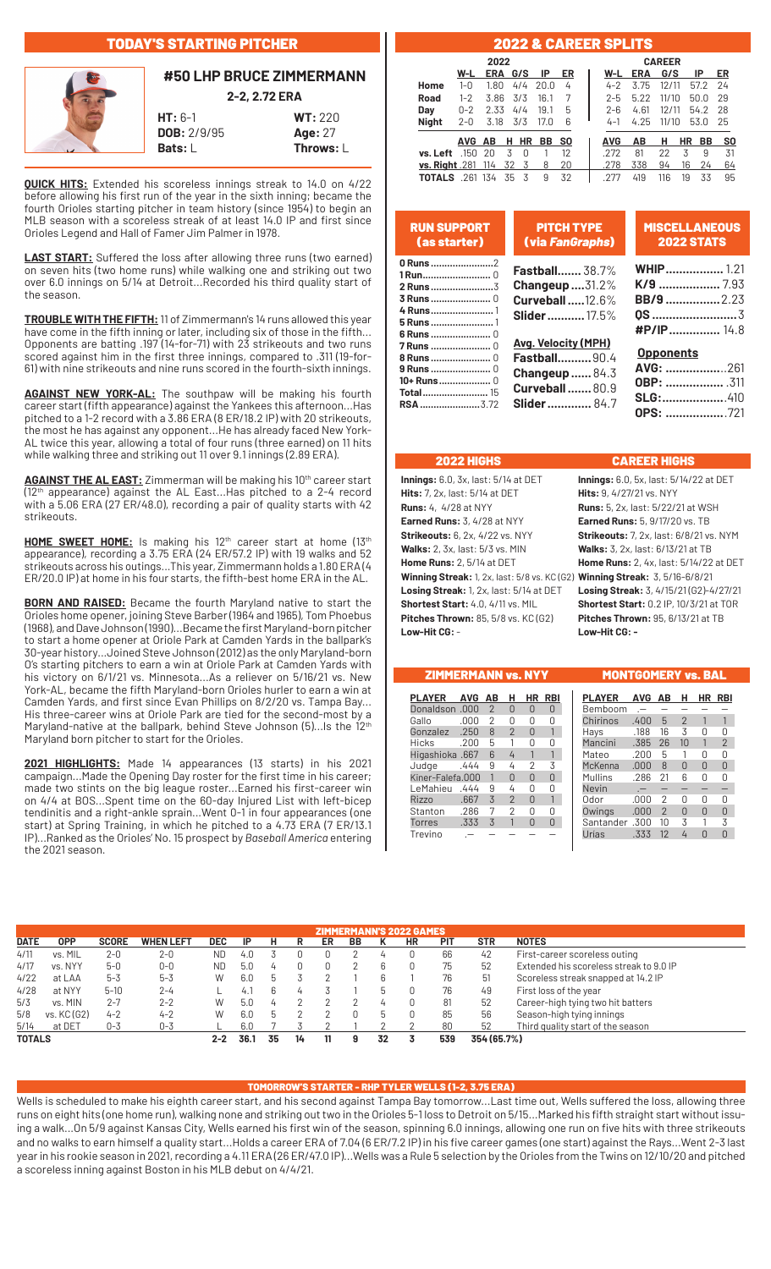### TODAY'S STARTING PITCHER



### **#50 LHP BRUCE ZIMMERMANN 2-2, 2.72 ERA**

**HT:** 6-1 **WT:** 220 **DOB:** 2/9/95 **Age:** 27 **Bats:** L **Throws:** L

**QUICK HITS:** Extended his scoreless innings streak to 14.0 on 4/22 before allowing his first run of the year in the sixth inning; became the fourth Orioles starting pitcher in team history (since 1954) to begin an MLB season with a scoreless streak of at least 14.0 IP and first since Orioles Legend and Hall of Famer Jim Palmer in 1978.

**LAST START:** Suffered the loss after allowing three runs (two earned) on seven hits (two home runs) while walking one and striking out two over 6.0 innings on 5/14 at Detroit...Recorded his third quality start of the season.

**TROUBLE WITH THE FIFTH:**11 of Zimmermann's 14 runs allowed this year have come in the fifth inning or later, including six of those in the fifth... Opponents are batting .197 (14-for-71) with 23 strikeouts and two runs scored against him in the first three innings, compared to .311 (19-for-61) with nine strikeouts and nine runs scored in the fourth-sixth innings.

**AGAINST NEW YORK-AL:** The southpaw will be making his fourth career start (fifth appearance) against the Yankees this afternoon...Has pitched to a 1-2 record with a 3.86 ERA (8 ER/18.2 IP) with 20 strikeouts, the most he has against any opponent...He has already faced New York-AL twice this year, allowing a total of four runs (three earned) on 11 hits while walking three and striking out 11 over 9.1 innings (2.89 ERA).

**AGAINST THE AL EAST:** Zimmerman will be making his 10th career start (12th appearance) against the AL East...Has pitched to a 2-4 record with a 5.06 ERA (27 ER/48.0), recording a pair of quality starts with 42 strikeouts.

HOME SWEET HOME: Is making his 12<sup>th</sup> career start at home (13<sup>th</sup> appearance), recording a 3.75 ERA (24 ER/57.2 IP) with 19 walks and 52 strikeouts across his outings...This year, Zimmermann holds a 1.80 ERA (4 ER/20.0 IP) at home in his four starts, the fifth-best home ERA in the AL.

**BORN AND RAISED:** Became the fourth Maryland native to start the Orioles home opener, joining Steve Barber (1964 and 1965), Tom Phoebus (1968), and Dave Johnson (1990)...Became the first Maryland-born pitcher to start a home opener at Oriole Park at Camden Yards in the ballpark's 30-year history...Joined Steve Johnson (2012) as the only Maryland-born O's starting pitchers to earn a win at Oriole Park at Camden Yards with his victory on 6/1/21 vs. Minnesota...As a reliever on 5/16/21 vs. New York-AL, became the fifth Maryland-born Orioles hurler to earn a win at Camden Yards, and first since Evan Phillips on 8/2/20 vs. Tampa Bay... His three-career wins at Oriole Park are tied for the second-most by a Maryland-native at the ballpark, behind Steve Johnson (5)... Is the 12<sup>th</sup> Maryland born pitcher to start for the Orioles.

**2021 HIGHLIGHTS:** Made 14 appearances (13 starts) in his 2021 campaign...Made the Opening Day roster for the first time in his career; made two stints on the big league roster...Earned his first-career win on 4/4 at BOS...Spent time on the 60-day Injured List with left-bicep tendinitis and a right-ankle sprain...Went 0-1 in four appearances (one start) at Spring Training, in which he pitched to a 4.73 ERA (7 ER/13.1 IP)...Ranked as the Orioles' No. 15 prospect by *Baseball America* entering the 2021 season.

### 2022 & CAREER SPLITS

|                      |          | 2022 |    |     |      |           |  |            |            | <b>CAREER</b> |    |      |    |
|----------------------|----------|------|----|-----|------|-----------|--|------------|------------|---------------|----|------|----|
|                      | W-L      | ERA  |    | G/S | IP   | ER        |  | W-L        | <b>ERA</b> | G/S           |    | IP   | ER |
| Home                 | $1 - 0$  | 1.80 |    | 4/4 | 20.0 | 4         |  | $4 - 2$    | 3.75       | 12/11         |    | 57.2 | 24 |
| Road                 | $1 - 2$  | 3.86 |    | 3/3 | 16.1 |           |  | $2 - 5$    | 5.22       | 11/10         |    | 50.0 | 29 |
| Day                  | $0 - 2$  | 2.33 |    | 4/4 | 19.1 | 5         |  | 2-հ        | 4.61       | 12/11         |    | 54.2 | 28 |
| <b>Night</b>         | $2 - 0$  | 3.18 |    | 3/3 | 17.0 | 6         |  | 4-1        | 4.25       | 11/10         |    | 53.0 | 25 |
|                      | AVG.     | AВ   | н  | HR  | BB   | <b>SO</b> |  | <b>AVG</b> | ΑВ         | н             | ΗR | BB   | S0 |
| <b>vs. Left</b> .150 |          | 20   | 3  | 0   |      | 12        |  | .272       | 81         | 22            | 3  | 9    | 31 |
| vs. Right .281       |          | 114  | 32 | 3   | 8    | 20        |  | .278       | 338        | 94            | 16 | 24   | 64 |
| <b>TOTALS</b>        | .261 134 |      | 35 | 3   | 9    | 32        |  |            | 41.9       | 116           | 19 | 33   | 95 |

| <b>RUN SUPPORT</b><br>(as starter) | <b>PITCH TYPE</b><br>(via FanGraphs) | <b>MISCELLANEOUS</b><br><b>2022 STATS</b> |
|------------------------------------|--------------------------------------|-------------------------------------------|
| 0 Runs 2                           | <b>Fastball</b> 38.7%                | <b>WHIP</b> 1.21                          |
|                                    |                                      |                                           |
|                                    | <b>Changeup</b> $31.2%$              | K/9  7.93                                 |
|                                    | Curveball12.6%                       | <b>BB/9 </b> 2.23                         |
|                                    | <b>Slider </b> 17.5%                 |                                           |
|                                    |                                      |                                           |
|                                    |                                      |                                           |
| <b>7 Runs </b> 0                   | Avg. Velocity (MPH)                  |                                           |
|                                    | <b>Fastball</b> 90.4                 | <b>Opponents</b>                          |
|                                    |                                      | AVG: 261                                  |
|                                    | <b>Changeup</b> 84.3                 |                                           |
| <b>Total</b> 15                    | <b>Curveball80.9</b>                 |                                           |
| <b>RSA</b> 3.72                    | <b>Slider</b> 84.7                   |                                           |
|                                    |                                      | <b>OPS:</b> 721                           |

### 2022 HIGHS CAREER HIGHS

**Hits:** 7, 2x, last: 5/14 at DET **Hits:** 9, 4/27/21 vs. NYY **Runs:** 4, 4/28 at NYY **Runs:** 5, 2x, last: 5/22/21 at WSH **Earned Runs:** 3, 4/28 at NYY **Earned Runs:** 5, 9/17/20 vs. TB **Strikeouts:** 6, 2x, 4/22 vs. NYY **Strikeouts:** 7, 2x, last: 6/8/21 vs. NYM **Walks:** 2, 3x, last: 5/3 vs. MIN **Walks:** 3, 2x, last: 6/13/21 at TB **Winning Streak:** 1, 2x, last: 5/8 vs. KC (G2) **Winning Streak:** 3, 5/16-6/8/21 **Losing Streak:** 1, 2x, last: 5/14 at DET **Losing Streak:** 3, 4/15/21 (G2)-4/27/21 **Shortest Start:** 4.0, 4/11 vs. MIL **Shortest Start:** 0.2 IP, 10/3/21 at TOR **Pitches Thrown:** 85, 5/8 vs. KC (G2) **Pitches Thrown:** 95, 6/13/21 at TB **Low-Hit CG:** - **Low-Hit CG: -**

**Innings:** 6.0, 3x, last: 5/14 at DET **Innings:** 6.0, 5x, last: 5/14/22 at DET **Home Runs:** 2, 5/14 at DET **Home Runs:** 2, 4x, last: 5/14/22 at DET

| <b>ZIMMERMANN vs. NYY</b> |            |               |                |           |              | <b>MONTGOMERY vs. BAL</b> |        |               |               |          |               |
|---------------------------|------------|---------------|----------------|-----------|--------------|---------------------------|--------|---------------|---------------|----------|---------------|
| <b>PLAYER</b>             | <b>AVG</b> | AB            | н              | <b>HR</b> | <b>RBI</b>   | <b>PLAYER</b>             | AVG AB |               | н             | HR       | <b>RBI</b>    |
| Donaldson .000            |            | $\mathcal{P}$ | $\Omega$       | 0         | 0            | Bemboom                   |        |               |               |          |               |
| Gallo                     | .000       | 2             | U              | 0         | 0            | Chirinos                  | .400   | 5             | $\mathcal{P}$ |          |               |
| Gonzalez                  | .250       | 8             | $\overline{2}$ | $\Omega$  | $\mathbf{1}$ | Hays                      | .188   | 16            | 3             | 0        | 0             |
| Hicks                     | .200       | 5             |                | 0         | 0            | Mancini                   | .385   | 26            | 10            | 1        | $\mathcal{P}$ |
| Higashioka .667           |            | 6             | 4              | 1         | $\mathbf{1}$ | Mateo                     | .200   | 5             |               | Ŋ        | U             |
| Judge                     | .444       | 9             | 4              | 2         | 3            | McKenna                   | .000.  | 8             | $\Omega$      | 0        | <sup>n</sup>  |
| Kiner-Falefa.000          |            | 1             | $\Omega$       | $\Omega$  | 0            | Mullins                   | .286   | 21            | 6             | Ŋ        | U             |
| LeMahieu                  | .444       | 9             | 4              | 0         | 0            | Nevin                     |        |               |               |          |               |
| Rizzo                     | .667       | 3             | $\mathfrak{p}$ | 0         | 1            | Odor                      | .000   | 2             | 0             | 0        | U             |
| Stanton                   | .286       | 7             | 2              | 0         | 0            | Owings                    | .000.  | $\mathcal{P}$ | $\Omega$      | $\Omega$ | <sup>0</sup>  |
| Torres                    | .333       | 3             |                | $\Omega$  | $\Omega$     | Santander                 | .300   | 10            | 3             |          | 3             |
| Trevino                   |            |               |                |           |              | Urías                     | .333   | 12            | 4             | $\Omega$ | <sup>0</sup>  |
|                           |            |               |                |           |              |                           |        |               |               |          |               |

|             | ZIMMERMANN'S 2022 GAMES |              |                  |         |      |                |    |    |    |                |    |            |             |                                         |
|-------------|-------------------------|--------------|------------------|---------|------|----------------|----|----|----|----------------|----|------------|-------------|-----------------------------------------|
| <b>DATE</b> | <b>OPP</b>              | <b>SCORE</b> | <b>WHEN LEFT</b> | DEC     | -lP  | н              |    | ER | BB |                | HR | <b>PIT</b> | <b>STR</b>  | <b>NOTES</b>                            |
| 4/11        | vs. MIL                 | $2 - 0$      | $2 - 0$          | ND      | 4.0  |                |    |    |    |                |    | 66         | 42          | First-career scoreless outing           |
| 4/17        | vs. NYY                 | $5-0$        | $0-0$            | ND.     | 5.0  |                |    |    |    |                |    | 75         | 52          | Extended his scoreless streak to 9.0 IP |
| 4/22        | at LAA                  | $5 - 3$      | $5 - 3$          | W       | 6.0  | b              |    |    |    | 6              |    | 76         | 51          | Scoreless streak snapped at 14.2 IP     |
| 4/28        | at NYY                  | $5 - 10$     | $2 - 4$          |         | 4.1  | 6              |    |    |    |                |    | 76         | 49          | First loss of the year                  |
| 5/3         | vs. MIN                 | $2 - 7$      | $2 - 2$          | W       | 5.0  | $\overline{4}$ |    |    |    | $\overline{4}$ |    | 81         | 52          | Career-high tying two hit batters       |
| 5/8         | vs. KC (G2)             | $4 - 2$      | $4 - 2$          | W       | 6.0  | b              |    |    |    | b              |    | 85         | 56          | Season-high tying innings               |
| 5/14        | at DET                  | $0 - 3$      | $0 - 3$          |         | 6.0  |                |    |    |    |                |    | 80         | 52          | Third quality start of the season       |
| TOTALS      |                         |              |                  | $2 - 2$ | 36.1 | 35             | 14 | 11 | 9  | 32             |    | 539        | 354 (65.7%) |                                         |

### TOMORROW'S STARTER - RHP TYLER WELLS (1-2, 3.75 ERA)

Wells is scheduled to make his eighth career start, and his second against Tampa Bay tomorrow...Last time out, Wells suffered the loss, allowing three runs on eight hits (one home run), walking none and striking out two in the Orioles 5-1 loss to Detroit on 5/15...Marked his fifth straight start without issuing a walk...On 5/9 against Kansas City, Wells earned his first win of the season, spinning 6.0 innings, allowing one run on five hits with three strikeouts and no walks to earn himself a quality start...Holds a career ERA of 7.04 (6 ER/7.2 IP) in his five career games (one start) against the Rays...Went 2-3 last year in his rookie season in 2021, recording a 4.11 ERA (26 ER/47.0 IP)...Wells was a Rule 5 selection by the Orioles from the Twins on 12/10/20 and pitched a scoreless inning against Boston in his MLB debut on 4/4/21.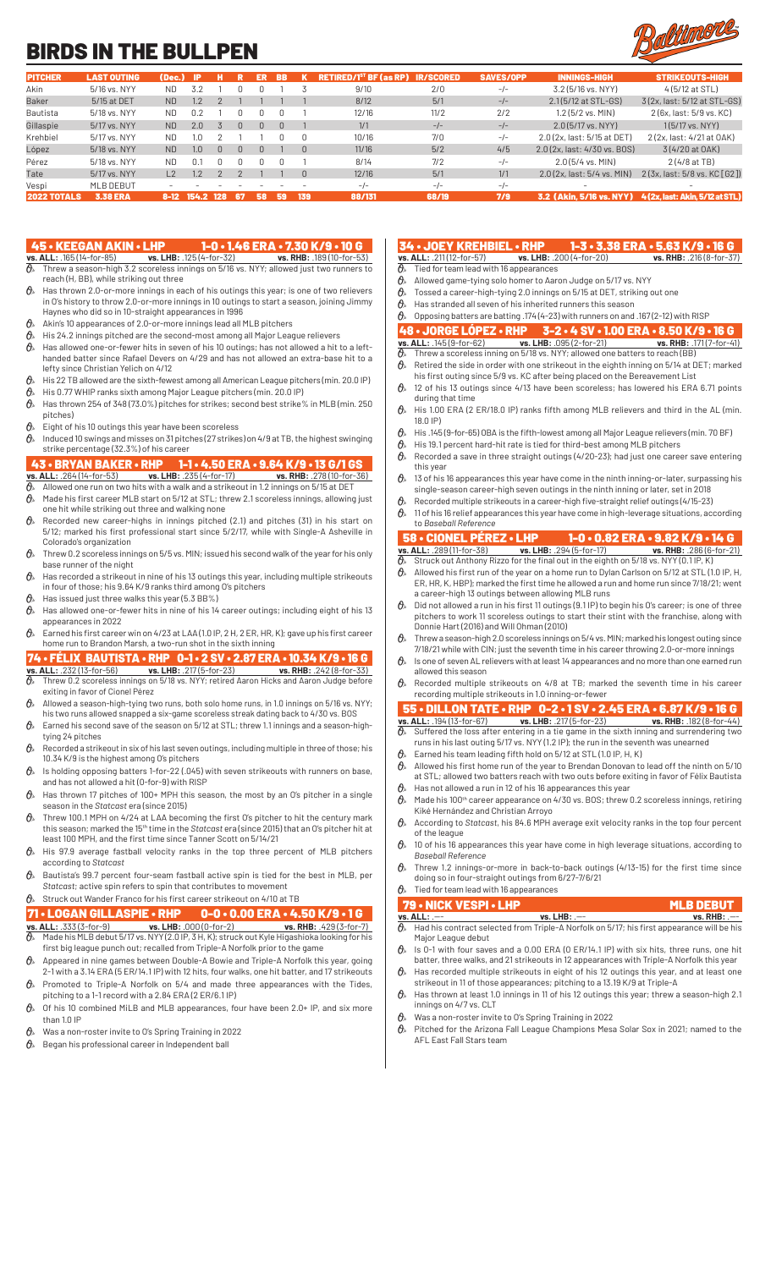## BIRDS IN THE BULLPEN



| <b>PITCHER</b>     | <b>LAST OUTING</b> | (Dec.)    | -IP           |     |              | ER | BB. |     | <b>RETIRED/1<sup>st</sup> BF (as RP)</b> | <b>IR/SCORED</b> | <b>SAVES/OPP</b> | <b>INNINGS-HIGH</b>          | <b>STRIKEOUTS-HIGH</b>          |
|--------------------|--------------------|-----------|---------------|-----|--------------|----|-----|-----|------------------------------------------|------------------|------------------|------------------------------|---------------------------------|
| Akin               | 5/16 vs. NYY       | ND.       | 3.2           |     |              |    |     |     | 9/10                                     | 2/0              | $-/-$            | 3.2 (5/16 vs. NYY)           | $4(5/12$ at STL)                |
| <b>Baker</b>       | 5/15 at DET        | <b>ND</b> | .2            |     |              |    |     |     | 8/12                                     | 5/1              | $-/-$            | 2.1(5/12 at STL-GS)          | 3(2x, last: 5/12 at STL-GS)     |
| Bautista           | 5/18 vs. NYY       | ND.       | 0.2           |     |              |    |     |     | 12/16                                    | 11/2             | 2/2              | $1.2$ (5/2 vs. MIN)          | 2 (6x, last: 5/9 vs. KC)        |
| Gillaspie          | 5/17 vs. NYY       | <b>ND</b> | 2.0           |     | <sup>n</sup> | n  |     |     | 1/1                                      | $-/-$            | $-/-$            | 2.0 (5/17 vs. NYY)           | $1(5/17 \text{ vs. } NYY)$      |
| Krehbiel           | 5/17 vs. NYY       | ND.       | .0            |     |              |    |     |     | 10/16                                    | 7/0              | $-/-$            | 2.0 (2x, last: 5/15 at DET)  | 2 (2x, last: 4/21 at OAK)       |
| López              | 5/18 vs. NYY       | <b>ND</b> | $1.0^{\circ}$ | U.  | <sup>n</sup> |    |     |     | 11/16                                    | 5/2              | 4/5              | 2.0 (2x, last: 4/30 vs. BOS) | 3(4/20 at OAK)                  |
| Pérez              | 5/18 vs. NYY       | <b>ND</b> | 0.1           | n.  |              |    |     |     | 8/14                                     | 7/2              | $-/-$            | $2.0(5/4$ vs. MIN)           | 2(4/8atTB)                      |
| Tate               | 5/17 vs. NYY       |           | .2            |     |              |    |     |     | 12/16                                    | 5/1              | 1/1              | 2.0(2x, last: 5/4 vs. MIN)   | 2(3x, last: 5/8 vs. KC[G2])     |
| Vespi              | MLB DEBUT          |           |               |     |              |    |     |     | $-1$                                     | $-l-$            | $-/-$            |                              |                                 |
| <b>2022 TOTALS</b> | <b>3.38 ERA</b>    | 8-12      | 154.2         | 128 | -67          | 58 | 59  | 139 | 88/131                                   | 68/19            | 7/9              | 3.2 (Akin. 5/16 vs. NYY).    | 4 (2x. last: Akin. 5/12 at STL) |

- 45 KEEGAN AKIN LHP 1-0 1.46 ERA 7.30 K/9 10 G<br>
<u>vs. ALL: .185 (14-for-85) vs. LHB: .125 (4-for-32)</u> vs. RHB: .189 (10-for-53)<br>  $\theta$  Threw a season-high 3.2 seorglass innings on 5/10 in NW 188 (10-101-53) **vs. ALL:** .165 (14-for-85) **vs. LHB:** .125 (4-for-32) **vs. RHB:** .189 (10-for-53)  $\partial\!\!\!/_s$  Threw a season-high 3.2 scoreless innings on 5/16 vs. NYY; allowed just two runners to reach (H, BB), while striking out three
- $\theta$ <sup>\*</sup> Has thrown 2.0-or-more innings in each of his outings this year; is one of two relievers in O's history to throw 2.0-or-more innings in 10 outings to start a season, joining Jimmy Haynes who did so in 10-straight appearances in 1996
- $\mathcal{O}_{\mathcal{P}}$  Akin's 10 appearances of 2.0-or-more innings lead all MLB pitchers
- $\theta$  His 24.2 innings pitched are the second-most among all Major League relievers
- $\theta$  Has allowed one-or-fewer hits in seven of his 10 outings; has not allowed a hit to a lefthanded batter since Rafael Devers on 4/29 and has not allowed an extra-base hit to a lefty since Christian Yelich on 4/12
- $\theta$  His 22 TB allowed are the sixth-fewest among all American League pitchers (min. 20.0 IP)
- $\theta$  His 0.77 WHIP ranks sixth among Major League pitchers (min. 20.0 IP)  $\theta$  Has thrown 254 of 348 (73.0%) pitches for strikes; second best strike% in MLB (min. 250 pitches)
- $\theta$ <sup>\*</sup> Eight of his 10 outings this year have been scoreless
- $\theta$  Induced 10 swings and misses on 31 pitches (27 strikes) on 4/9 at TB, the highest swinging strike percentage (32.3%) of his career

### 43 • BRYAN BAKER • RHP 1-1 • 4.50 ERA • 9.64 K/9 • 13 G/1 GS

- **vs. ALL:** .264 (14-for-53) **vs. LHB:** .235 (4-for-17) **vs. RHB:** .278 (10-for-36)  $\partial\!\!\!/_\!\!$  Allowed one run on two hits with a walk and a strikeout in 1.2 innings on 5/15 at DET
- $\theta$  Made his first career MLB start on 5/12 at STL; threw 2.1 scoreless innings, allowing just
- one hit while striking out three and walking none  $\theta$  Recorded new career-highs in innings pitched (2.1) and pitches (31) in his start on 5/12; marked his first professional start since 5/2/17, while with Single-A Asheville in
- Colorado's organization  $\theta$  Threw 0.2 scoreless innings on 5/5 vs. MIN; issued his second walk of the year for his only base runner of the night
- $\hat{\theta}_*$  Has recorded a strikeout in nine of his 13 outings this year, including multiple strikeouts in four of those; his 9.64 K/9 ranks third among O's pitchers
- $\theta$ » Has issued just three walks this year (5.3 BB%)
- $\theta_{\ell}$  Has allowed one-or-fewer hits in nine of his 14 career outings; including eight of his 13 appearances in 2022
- $\theta$ <sup>\*</sup> Earned his first career win on 4/23 at LAA (1.0 IP, 2 H, 2 ER, HR, K); gave up his first career home run to Brandon Marsh, a two-run shot in the sixth inning

### 74 • FÉLIX BAUTISTA • RHP 0-1 • 2 SV • 2.87 ERA • 10.34 K/9 • 16 G **vs. ALL:** .232 (13-for-56) **vs. LHB:** .217 (5-for-23) **vs. RHB:** .242 (8-for-33)

- $\partial\!\!\!/_s$  Threw 0.2 scoreless innings on 5/18 vs. NYY; retired Aaron Hicks and Aaron Judge before exiting in favor of Cionel Pérez
- $\mathcal{O}_{\mathbb{A}}$  Allowed a season-high-tying two runs, both solo home runs, in 1.0 innings on 5/16 vs. NYY; his two runs allowed snapped a six-game scoreless streak dating back to 4/30 vs. BOS
- $\hat{\theta}_*$  Earned his second save of the season on 5/12 at STL; threw 1.1 innings and a season-hightying 24 pitches
- $\theta$  Recorded a strikeout in six of his last seven outings, including multiple in three of those; his 10.34 K/9 is the highest among O's pitchers
- $\theta$  Is holding opposing batters 1-for-22 (.045) with seven strikeouts with runners on base, and has not allowed a hit (0-for-9) with RISP
- $\theta$  Has thrown 17 pitches of 100+ MPH this season, the most by an O's pitcher in a single season in the *Statcast* era (since 2015)
- $\theta$ <sup>s</sup> Threw 100.1 MPH on 4/24 at LAA becoming the first O's pitcher to hit the century mark this season; marked the 15th time in the *Statcast* era (since 2015) that an O's pitcher hit at least 100 MPH, and the first time since Tanner Scott on 5/14/21
- $\hat{\theta}_s$  His 97.9 average fastball velocity ranks in the top three percent of MLB pitchers according to *Statcast*
- $\theta$ » Bautista's 99.7 percent four-seam fastball active spin is tied for the best in MLB, per *Statcast*; active spin refers to spin that contributes to movement

### $\theta$ » Struck out Wander Franco for his first career strikeout on 4/10 at TB

- **71 LOGAN GILLASPIE RHP 0-0 0.00 ERA 4.50 K/9 1 G**<br> **VS. ALL:** .333 (3-for-9) **VS. LHB:** .000 (0-for-2) **VS. RHB:** .429 (3-for-7)<br> **O**, Made his MLB debut 5/17 vs. NYY (2.0.12.3.1. K) considerate and with the se **vs. ALL:** .333 (3-for-9) **vs. LHB:** .000 (0-for-2) **vs. RHB:** .429 (3-for-7)  $\vartheta$ »  $\,$  Made his MLB debut 5/17 vs. NYY (2.0 IP, 3 H, K); struck out Kyle Higashioka looking for his first big league punch out; recalled from Triple-A Norfolk prior to the game
- $\mathcal{O}_{\!s}\;$  Appeared in nine games between Double-A Bowie and Triple-A Norfolk this year, going 2-1 with a 3.14 ERA (5 ER/14.1 IP) with 12 hits, four walks, one hit batter, and 17 strikeouts
- $\theta$ <sup>\*</sup> Promoted to Triple-A Norfolk on 5/4 and made three appearances with the Tides, pitching to a 1-1 record with a 2.84 ERA (2 ER/6.1 IP)
- $\hat{\theta}_k$  Of his 10 combined MiLB and MLB appearances, four have been 2.0+ IP, and six more than 1.0 IP
- $\theta$  Was a non-roster invite to O's Spring Training in 2022
- $\theta$ <sup>\*</sup> Began his professional career in Independent ball

## **34 • JOEY KREHBIEL • RHP 1-3 • 3.38 ERA • 5.63 K/9 • 16 G**<br>vs. ALL: .211(12-for-57) vs. LHB: .200 (4-for-20) vs. RHB: .216 (8-for-37)

- **vs. ALL:** .211 (12-for-57) **vs. ALL:** .211 (12-for-57) Tied for team lead with 16 appearances
- 
- $\mathcal{O}_s$  Allowed game-tying solo homer to Aaron Judge on 5/17 vs. NYY<br> $\mathcal{O}_s$  Tossed a career-high-tving 2.0 innings on 5/15 at DET, striking o Tossed a career-high-tying 2.0 innings on 5/15 at DET, striking out one
- $\theta$ » Has stranded all seven of his inherited runners this season
- $\mathcal{O}_{\!\scriptscriptstyle\beta}$  Opposing batters are batting .174 (4-23) with runners on and .167 (2-12) with RISP

- 48 JORGE LÓPEZ RHP 3-2 4 SV 1.00 ERA 8.50 K/9 16 G<br>vs. ALL: .145 (9-for-62) vs. LHB: .095 (2-for-21) vs. RHB: .171 (7-for-41) **vs. ALL:** .145 (9-for-62) **vs. LHB:** .095 (2-for-21) **vs. RHB:** .171 (7-for-41)
- $\mathcal{O}_{\!\scriptscriptstyle\beta\!\scriptscriptstyle\gamma}$  Threw a scoreless inning on 5/18 vs. NYY; allowed one batters to reach (BB)  $\theta$  Retired the side in order with one strikeout in the eighth inning on 5/14 at DET; marked
- his first outing since 5/9 vs. KC after being placed on the Bereavement List  $\mathcal{O}_{\mathcal{P}}$  12 of his 13 outings since 4/13 have been scoreless; has lowered his ERA 6.71 points
- during that time  $\theta$  His 1.00 ERA (2 ER/18.0 IP) ranks fifth among MLB relievers and third in the AL (min. 18.0 IP)
- 
- $\theta_{\scriptscriptstyle\delta}$  His .145 (9-for-65) OBA is the fifth-lowest among all Major League relievers (min. 70 BF)<br> $\theta_{\scriptscriptstyle\delta}$  His 19.1 percent hard-hit rate is tied for third-best among MLB pitchers His 19.1 percent hard-hit rate is tied for third-best among MLB pitchers
- $\theta$  Recorded a save in three straight outings (4/20-23); had just one career save entering this year
- $\theta$  13 of his 16 appearances this year have come in the ninth inning-or-later, surpassing his single-season career-high seven outings in the ninth inning or later, set in 2018
- $\theta$  Recorded multiple strikeouts in a career-high five-straight relief outings (4/15-23)
- $\theta$  11 of his 16 relief appearances this year have come in high-leverage situations, according to *Baseball Reference*

### 58 • CIONEL PÉREZ • LHP 1-0 • 0.82 ERA • 9.82 K/9 • 14 G **vs. LHB:** .294 (5-for-17)

- $\frac{1}{\theta}$  Struck out Anthony Rizzo for the final out in the eighth on 5/18 vs. NYY (0.1 IP, K)
- $\theta$  Allowed his first run of the year on a home run to Dylan Carlson on 5/12 at STL (1.0 IP, H, ER, HR, K, HBP); marked the first time he allowed a run and home run since 7/18/21; went a career-high 13 outings between allowing MLB runs
- $\theta$  Did not allowed a run in his first 11 outings (9.1 IP) to begin his O's career; is one of three pitchers to work 11 scoreless outings to start their stint with the franchise, along with Donnie Hart (2016) and Will Ohman (2010)
- $\theta$  Threw a season-high 2.0 scoreless innings on 5/4 vs. MIN; marked his longest outing since 7/18/21 while with CIN; just the seventh time in his career throwing 2.0-or-more innings  $\theta$  Is one of seven AL relievers with at least 14 appearances and no more than one earned run
- allowed this season  $\theta_{\rm k}$ . Recorded multiple strikeouts on 4/8 at TB; marked the seventh time in his career

### recording multiple strikeouts in 1.0 inning-or-fewer

### 55 • DILLON TATE • RHP 0-2 • 1 SV • 2.45 ERA • 6.87 K/9 • 16 G **vs. ALL:** .194 (13-for-67) **vs. LHB:** .217 (5-for-23) **vs. RHB:** .182 (8-for-44)

- $\partial\!\!\!/_\!\!$  Suffered the loss after entering in a tie game in the sixth inning and surrendering two runs in his last outing 5/17 vs. NYY (1.2 IP); the run in the seventh was unearned
- $\theta$  Earned his team leading fifth hold on 5/12 at STL (1.0 IP, H, K)
- $\theta$ <sup>\*</sup> Allowed his first home run of the year to Brendan Donovan to lead off the ninth on 5/10
- at STL; allowed two batters reach with two outs before exiting in favor of Félix Bautista  $\theta_{\ast}$  Has not allowed a run in 12 of his 16 appearances this year
- $\theta$ <sup>M</sup> Made his 100<sup>th</sup> career appearance on 4/30 vs. BOS; threw 0.2 scoreless innings, retiring Kiké Hernández and Christian Arroyo
- According to *Statcast*, his 84.6 MPH average exit velocity ranks in the top four percent of the league
- $\theta$  10 of his 16 appearances this year have come in high leverage situations, according to *Baseball Reference*
- $\theta$ <sup>\*</sup> Threw 1.2 innings-or-more in back-to-back outings (4/13-15) for the first time since doing so in four-straight outings from 6/27-7/6/21
- $\theta$ <sup>\*</sup> Tied for team lead with 16 appearances

#### **79 • NICK VESPI • LHP MLB DEBUT**<br> **VS. ALL:** .-- **WALB DEBUT** WS. LHB: .-- **MALB DEBUT vs. ALL:** .--- **vs. LHB:** .--- **vs. RHB:** .---  $\overline{\theta}_{\!\scriptscriptstyle{0}}$  Had his contract selected from Triple-A Norfolk on 5/17; his first appearance will be his

- Major League debut  $\hat{\theta}_k$  is 0-1 with four saves and a 0.00 ERA (0 ER/14.1 IP) with six hits, three runs, one hit
- batter, three walks, and 21 strikeouts in 12 appearances with Triple-A Norfolk this year Has recorded multiple strikeouts in eight of his 12 outings this year, and at least one
- strikeout in 11 of those appearances; pitching to a 13.19 K/9 at Triple-A  $\theta$ <sup>\*</sup> Has thrown at least 1.0 innings in 11 of his 12 outings this year; threw a season-high 2.1
- innings on 4/7 vs. CLT
- $\theta_{\text{k}}$  Was a non-roster invite to O's Spring Training in 2022
- $\theta$ <sup>*s*</sup> Pitched for the Arizona Fall League Champions Mesa Solar Sox in 2021; named to the AFL East Fall Stars team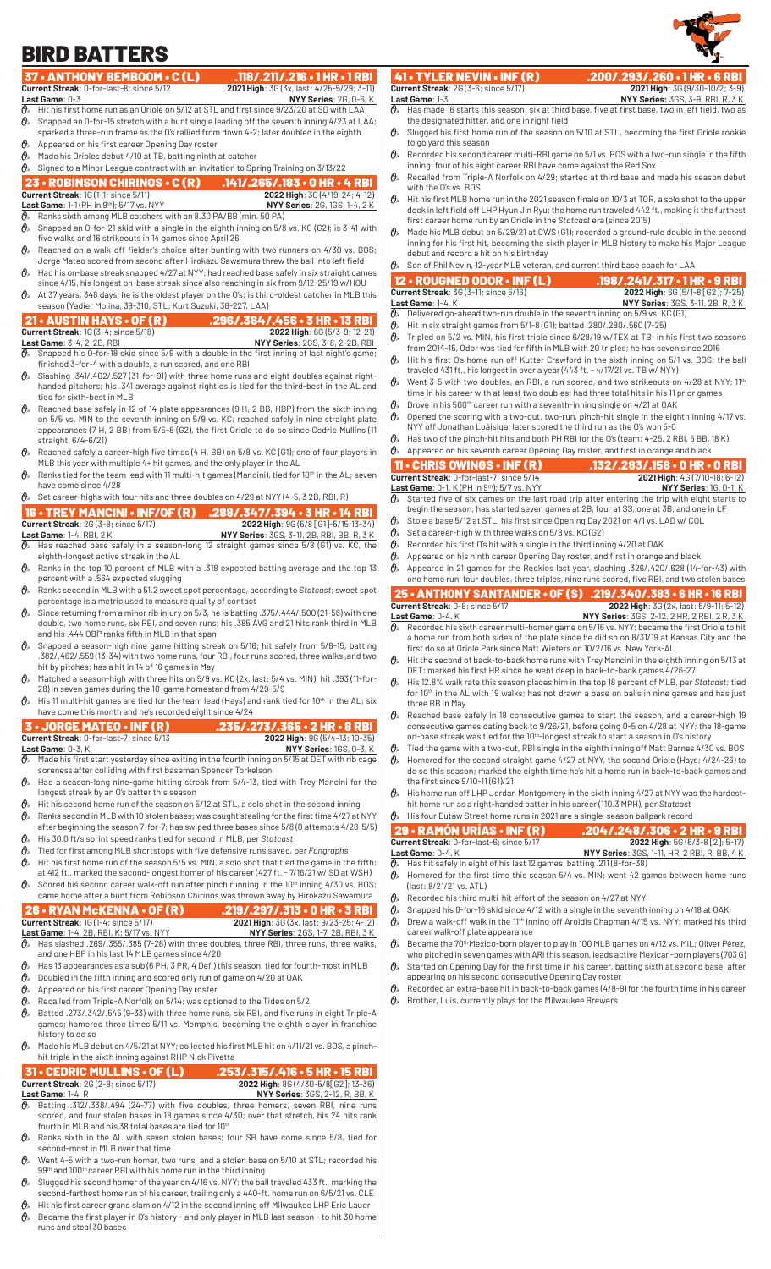#### 37 • ANTHONY BEMBOOM • C (L) .118/.211/.216 • 1 HR • 1 RBI<br>Current Streak: 0-for-last-8; since 5/12 2021 High: 36 (3x, last: 4/25-5/29; 3-11) **2021 High**: 3G (3x, last: 4/25-5/29; 3-11) **Last Game**: 0-3 **NYY Series**: 2G, 0-6, K Hit his first home run as an Oriole on 5/12 at STL and first since 9/23/20 at SD with LAA  $\theta$  Snapped an 0-for-15 stretch with a bunt single leading off the seventh inning 4/23 at LAA; sparked a three-run frame as the O's rallied from down 4-2; later doubled in the eighth  $\theta$ » Appeared on his first career Opening Day roster  $\theta$  Made his Orioles debut 4/10 at TB, batting ninth at catcher  $\theta$  Signed to a Minor League contract with an invitation to Spring Training on 3/13/22 23 • ROBINSON CHIRINOS • C (R) .141/.265/.183 • 0 HR • 4 RBI **Current Streak**: 1G (1-1; since 5/11) **2022 High**: 3G (4/19-24; 4-12) **Last Game**: 1-1 (PH in 9<sup>th</sup>); 5/17 vs. NYY **NOTE: 1988** NYY Series: 2G, 1GS, 1-4, 2 K  $\mathcal{O}_{\!s}\;$  Ranks sixth among MLB catchers with an 8.30 PA/BB (min. 50 PA)  $\theta$  Snapped an 0-for-21 skid with a single in the eighth inning on 5/8 vs. KC (G2); is 3-41 with five walks and 16 strikeouts in 14 games since April 26  $\theta$  Reached on a walk-off fielder's choice after bunting with two runners on  $4/30$  vs. BOS; Jorge Mateo scored from second after Hirokazu Sawamura threw the ball into left field  $\theta$  Had his on-base streak snapped 4/27 at NYY; had reached base safely in six straight games since 4/15, his longest on-base streak since also reaching in six from 9/12-25/19 w/HOU  $\partial_{\!s}\;$  At 37 years, 348 days, he is the oldest player on the O's; is third-oldest catcher in MLB this season (Yadier Molina, 39-310, STL; Kurt Suzuki, 38-227, LAA) **21 • AUSTIN HAYS • OF (R)** .296/.364/.456 • 3 HR • 13 RBI<br>Current Streak: 16 (3-4; since 5/18) ...<br>Last Game: 3-4, 2-2B, RBI ... NYY Series: 26S, 3-8, 2-2B, RBI<br> $\frac{1}{9}$  ... Snapped his 0-for-18 skid since 5/9 with a do **Current Streak**: 1G (3-4; since 5/18) **Last Game**: 3-4, 2-2B, RBI **NYY Series**: 2GS, 3-8, 2-2B, RBI  $\partial\!\!\!/_\!\!$  Snapped his 0-for-18 skid since 5/9 with a double in the first inning of last night's game; finished 3-for-4 with a double, a run scored, and one RBI Slashing .341/.402/.527 (31-for-91) with three home runs and eight doubles against righthanded pitchers; his .341 average against righties is tied for the third-best in the AL and tied for sixth-best in MLB  $\mathcal{O}_{\!\scriptscriptstyle\beta}$  Reached base safely in 12 of 14 plate appearances (9 H, 2 BB, HBP) from the sixth inning on 5/5 vs. MIN to the seventh inning on 5/9 vs. KC; reached safely in nine straight plate appearances (7 H, 2 BB) from 5/5-8 (G2), the first Oriole to do so since Cedric Mullins (11 straight, 6/4-6/21) Reached safely a career-high five times (4 H, BB) on 5/8 vs. KC (G1); one of four players in MLB this year with multiple 4+ hit games, and the only player in the AL  $\theta$  Ranks tied for the team lead with 11 multi-hit games (Mancini), tied for 10<sup>th</sup> in the AL; seven have come since 4/28  $\theta$  Set career-highs with four hits and three doubles on 4/29 at NYY (4-5, 3 2B, RBI, R) 16 • TREY MANCINI • INF/OF (R) .288/.347/.394 • 3 HR • 14 RBI<br>Current Streak: 26 (3-8; since 5/17) 2022 High: 96 (5/8 [61]-5/15;13-34) **Current Streak**: 2G (3-8; since 5/17) **Last Game**: 1-4, RBI, 2 K **NYY Series**: 3GS, 3-11, 2B, RBI, BB, R, 3 K  $\mathcal{O}_{\!\scriptscriptstyle\beta\!\prime}$  Has reached base safely in a season-long 12 straight games since 5/8 (G1) vs. KC, the eighth-longest active streak in the AL  $\theta$ . Ranks in the top 10 percent of MLB with a .318 expected batting average and the top 13 percent with a .564 expected slugging  $\theta$ »  $\,$  Ranks second in MLB with a 51.2 sweet spot percentage, according to Statcast; sweet spot percentage is a metric used to measure quality of contact  $\theta$  Since returning from a minor rib injury on 5/3, he is batting .375/.444/.500 (21-56) with one double, two home runs, six RBI, and seven runs; his .385 AVG and 21 hits rank third in MLB and his .444 OBP ranks fifth in MLB in that span  $\theta$  Snapped a season-high nine game hitting streak on 5/16; hit safely from 5/8-15, batting .382/.462/.559 (13-34) with two home runs, four RBI, four runs scored, three walks ,and two hit by pitches; has a hit in 14 of 16 games in May  $\theta_{\rm k}$  Matched a season-high with three hits on 5/9 vs. KC (2x, last: 5/4 vs. MIN); hit .393 (11-for-28) in seven games during the 10-game homestand from 4/29-5/9  $\theta$ <sup>\*</sup> His 11 multi-hit games are tied for the team lead (Hays) and rank tied for 10<sup>th</sup> in the AL; six have come this month and he's recorded eight since 4/24 3 • JORGE MATEO • INF (R) .235/.273/.365 • 2 HR • 8 RBI<br>Current Streak: 0-for-last-7; since 5/13 2022 High: 96 (5/4-13; 10-35)<br>Last Game: 0-3, K<br> $\frac{1}{\theta}$  Made his first start vesterday since eviting in the fourth last. **Current Streak**: 0-for-last-7; since 5/13 **Last Game**: 0-3, K **NYY Series**: 1GS, 0-3, K  $\vartheta$  Made his first start yesterday since exiting in the fourth inning on 5/15 at DET with rib cage soreness after colliding with first baseman Spencer Torkelson  $\theta$ <sup>\*</sup> Had a season-long nine-game hitting streak from 5/4-13, tied with Trey Mancini for the longest streak by an O's batter this season  $\theta_{\scriptscriptstyle{\aleph}}$  Hit his second home run of the season on 5/12 at STL, a solo shot in the second inning  $\theta$  Ranks second in MLB with 10 stolen bases; was caught stealing for the first time 4/27 at NYY after beginning the season 7-for-7; has swiped three bases since 5/8 (0 attempts 4/28-5/5)  $\hat{\theta}_s$  His 30.0 ft/s sprint speed ranks tied for second in MLB, per *Statcast*<br> $\hat{\theta}_s$  Tied for first among MLB shortstops with five defensive runs saved. Tied for first among MLB shortstops with five defensive runs saved, per *Fangraphs*  $\theta$ <sup>\*</sup> Hit his first home run of the season 5/5 vs. MIN, a solo shot that tied the game in the fifth; 41 • TYLER NEVIN • INF (R) .200/.293/.260 • 1 HR • 6 RBI<br>Current Streak: 2G(3-6; since 5/17) 2021 High: 3G(9/30-10/2; 3-9) **Current Streak**: 2G (3-6; since 5/17)<br>**Last Game**: 1-3<br> $\hat{Q}_a$  Has made 16 starts this season **Last Game**: 1-3 **NYY Series:** 3GS, 3-9, RBI, R, 3 K  $\partial\!\!\!/_s\!\!\!/$  Has made 16 starts this season: six at third base, five at first base, two in left field, two as the designated hitter, and one in right field to go yard this season inning; four of his eight career RBI have come against the Red Sox with the O's vs. BOS first career home run by an Oriole in the *Statcast* era (since 2015) debut and record a hit on his birthday Son of Phil Nevin, 12-year MLB veteran, and current third base coach for LAA **Current Streak:** 3G (3-11; since 5/16)<br>**Last Game:** 1-4, K Delivered go-ahead two-run double in the seventh inning on 5/9 vs. KC (G1)  $\theta$  Hit in six straight games from 5/1-8 (G1); batted .280/.280/.560 (7-25) from 2014-15, Odor was tied for fifth in MLB with 20 triples; he has seven since 2016 traveled 431 ft., his longest in over a year (443 ft. - 4/17/21 vs. TB w/ NYY) time in his career with at least two doubles; had three total hits in his 11 prior games Drove in his 500<sup>th</sup> career run with a seventh-inning single on 4/21 at OAK NYY off Jonathan Loáisiga; later scored the third run as the O's won 5-0  $\mathcal{O}_s$  Appeared on his seventh career Opening Day roster, and first in orange and black  $\partial\!\!\!/_s\!\!\!/$  Started five of six games on the last road trip after entering the trip with eight starts to  $\theta$  Stole a base 5/12 at STL, his first since Opening Day 2021 on 4/1 vs. LAD w/ COL  $\theta$  Set a career-high with three walks on 5/8 vs. KC (G2)  $\theta$  Recorded his first O's hit with a single in the third inning 4/20 at OAK  $\theta$ » Appeared on his ninth career Opening Day roster, and first in orange and black Last Game: 0-4, K<br> $\overline{\theta}$ » Recorded his sixth career multi-homer game on 5/16 vs. NYY; became the first Oriole to hit first do so at Oriole Park since Matt Wieters on 10/2/16 vs. New York-AL DET; marked his first HR since he went deep in back-to-back games 4/26-27 three BB in May on-base streak was tied for the 10<sup>th</sup>-longest streak to start a season in O's history the first since 9/10-11 (G1)/21 hit home run as a right-handed batter in his career (110.3 MPH), per *Statcast* His four Eutaw Street home runs in 2021 are a single-season ballpark record 29 • RAMÓN URÍAS • INF (R) BIRD BATTERS

- at 412 ft., marked the second-longest homer of his career (427 ft. 7/16/21 w/ SD at WSH)  $\theta$  Scored his second career walk-off run after pinch running in the 10<sup>th</sup> inning 4/30 vs. BOS;
- came home after a bunt from Robinson Chirinos was thrown away by Hirokazu Sawamura

## **26 • RYAN McKENNA • OF (R)** .219/.297/.313 • 0 HR • 3 RBI current Streak: 16 (1-4; since 5/17) .2021 High: 36 (3x, last: 9/23-25; 4-12)

- **2021 High**: 3G (3x, last: 9/23-25; 4-12) **Last Game**: 1-4, 2B, RBI, K; 5/17 vs. NYY **NYY Series**: 2GS, 1-7, 2B, RBI, 3 K  $\partial_{\!s}\;$  Has slashed .269/.355/.385 (7-26) with three doubles, three RBI, three runs, three walks,
- and one HBP in his last 14 MLB games since 4/20
- $\theta$  Has 13 appearances as a sub (6 PH, 3 PR, 4 Def.) this season, tied for fourth-most in MLB  $\theta$  Doubled in the fifth inning and scored only run of game on 4/20 at OAK
- $\mathcal{O}_{\mathcal{P}}$  Appeared on his first career Opening Day roster
- $\theta$ » Recalled from Triple-A Norfolk on 5/14; was optioned to the Tides on 5/2
- $\theta$  Batted .273/.342/.545 (9-33) with three home runs, six RBI, and five runs in eight Triple-A games; homered three times 5/11 vs. Memphis, becoming the eighth player in franchise history to do so
- $\hat{\theta}_k$  Made his MLB debut on 4/5/21 at NYY; collected his first MLB hit on 4/11/21 vs. BOS, a pinchhit triple in the sixth inning against RHP Nick Pivetta

### 31 • CEDRIC MULLINS • OF (L) .253/.315/.416 • 5 HR • 15 RBI **Current Streak Streak Streek Streek 3 (4/30-5/8[G2]; 13-36) Last Game**: 1-4, R **NYY Series**: 3GS, 2-12, R, BB, K

- $\partial_{\!\scriptscriptstyle\beta\! *}$  Batting .312/.338/.494 (24–77) with five doubles, three homers, seven RBI, nine runs scored, and four stolen bases in 18 games since 4/30; over that stretch, his 24 hits rank fourth in MLB and his 38 total bases are tied for 10th
- $\theta$ » Ranks sixth in the AL with seven stolen bases; four SB have come since 5/8, tied for second-most in MLB over that time  $\mathcal{O}_{\ell}$  Went 4-5 with a two-run homer, two runs, and a stolen base on 5/10 at STL; recorded his
- 99th and 100th career RBI with his home run in the third inning
- $\vartheta$   $\!$  Slugged his second homer of the year on 4/16 vs. NYY; the ball traveled 433 ft., marking the second-farthest home run of his career, trailing only a 440-ft. home run on 6/5/21 vs. CLE
- Hit his first career grand slam on 4/12 in the second inning off Milwaukee LHP Eric Lauer  $\theta$  Became the first player in O's history - and only player in MLB last season - to hit 30 home runs and steal 30 bases
- $\hat{\theta}_s$  Slugged his first home run of the season on 5/10 at STL, becoming the first Oriole rookie
- $\theta_{k}$  Recorded his second career multi-RBI game on 5/1 vs. BOS with a two-run single in the fifth
- $\theta$  Recalled from Triple-A Norfolk on 4/29; started at third base and made his season debut
- $\theta$  Hit his first MLB home run in the 2021 season finale on 10/3 at TOR, a solo shot to the upper deck in left field off LHP Hyun Jin Ryu; the home run traveled 442 ft., making it the furthest
- $\theta$ <sup>*s*</sup> Made his MLB debut on 5/29/21 at CWS (G1); recorded a ground-rule double in the second inning for his first hit, becoming the sixth player in MLB history to make his Major League

# 12 • ROUGNED ODOR • INF (L) .198/.241/.317 • 1 HR • 9 RBI

- Last Game: 1-4, K<br> **B** Delivered go-ahead two-run double in the seventh inning on 5/9 vs. KC (G1)
- $\partial\!\!\!/_s\!\!\!$  Tripled on 5/2 vs. MIN, his first triple since 6/28/19 w/TEX at TB; in his first two seasons
- $\theta$ <sup>\*</sup> Hit his first O's home run off Kutter Crawford in the sixth inning on 5/1 vs. BOS; the ball
- $\theta$  Went 3-5 with two doubles, an RBI, a run scored, and two strikeouts on 4/28 at NYY; 11<sup>th</sup>
- $\theta_{\rm k}$  Opened the scoring with a two-out, two-run, pinch-hit single in the eighth inning 4/17 vs.
- $\theta$  Has two of the pinch-hit hits and both PH RBI for the O's (team: 4-25, 2 RBI, 5 BB, 18 K)

| We reposit out officially contained to positive pay restory and mothing office place. |                                                                                                       |
|---------------------------------------------------------------------------------------|-------------------------------------------------------------------------------------------------------|
| $\vert$ 11 $\cdot$ CHRIS OWINGS $\cdot$ INF (R)                                       | $.132/.283/.158 \cdot 0$ HR $\cdot$ 0 RBI                                                             |
| <b>Current Streak: 0-for-last-7: since 5/14</b>                                       | 2021 High: 4G (7/10-18; 6-12)                                                                         |
| <b>Last Game:</b> $0-1$ , $K$ (PH in $9th$ ): $5/7$ vs. NYY                           | <b>NYY Series: 1G, 0-1, K</b>                                                                         |
|                                                                                       | $\theta$ Started five of six games on the last road trip after entering the trip with eight starts to |

- begin the season; has started seven games at 2B, four at SS, one at 3B, and one in LF
- $\mathcal{O}_{\!\!s\!}$  Appeared in 21 games for the Rockies last year, slashing .326/.420/.628 (14-for-43) with one home run, four doubles, three triples, nine runs scored, five RBI, and two stolen bases

# 25 • ANTHONY SANTANDER • OF (S) .219/.340/.383 • 6 HR • 16 RBI **Current Streak**: 0-8; since 5/17 **2022 High**: 3G (2x, last: 5/9-11; 5-12)

- Recorded his sixth career multi-homer game on 5/16 vs. NYY; became the first Oriole to hit a home run from both sides of the plate since he did so on 8/31/19 at Kansas City and the
- $\theta$  Hit the second of back-to-back home runs with Trey Mancini in the eighth inning on 5/13 at
- His 12.8% walk rate this season places him in the top 18 percent of MLB, per *Statcast*; tied for 10<sup>th</sup> in the AL with 19 walks; has not drawn a base on balls in nine games and has just
- $\theta$  Reached base safely in 18 consecutive games to start the season, and a career-high 19 consecutive games dating back to 9/26/21, before going 0-5 on 4/28 at NYY; the 18-game
- Tied the game with a two-out, RBI single in the eighth inning off Matt Barnes 4/30 vs. BOS
- $\theta$ <sup>\*</sup> Homered for the second straight game 4/27 at NYY, the second Oriole (Hays; 4/24-26) to do so this season; marked the eighth time he's hit a home run in back-to-back games and
- $\vartheta$   $\!\!\sim$   $\,$  His home run off LHP Jordan Montgomery in the sixth inning 4/27 at NYY was the hardest-
- 

| 29 - RAMÓN URÍAS - INF (R)                                                              | 204/.248/.306 • 2 HR • 9 RBI.                       |
|-----------------------------------------------------------------------------------------|-----------------------------------------------------|
| <b>Current Streak: 0-for-last-6: since 5/17</b>                                         | <b>2022 High:</b> 5G (5/3-8 [2]; 5-17)              |
| <b>Last Game: <math>0-4</math>, K</b>                                                   | <b>NYY Series: 3GS, 1-11, HR, 2 RBI, R, BB, 4 K</b> |
| $\theta_{\delta}$ Has hit safely in eight of his last 12 games, batting .211 (8-for-38) |                                                     |

- $\theta$  Homered for the first time this season 5/4 vs. MIN; went 42 games between home runs (last: 8/21/21 vs. ATL)
- $\theta$  Recorded his third multi-hit effort of the season on 4/27 at NYY
- $\theta$  Snapped his 0-for-16 skid since 4/12 with a single in the seventh inning on 4/18 at OAK;
- $\hat{\theta}_s$  Drew a walk-off walk in the 11<sup>th</sup> inning off Aroldis Chapman 4/15 vs. NYY; marked his third career walk-off plate appearance
- $\vartheta_{\!s}\;$  Became the 70th Mexico-born player to play in 100 MLB games on 4/12 vs. MIL; Oliver Pérez, who pitched in seven games with ARI this season, leads active Mexican-born players (703 G)
- $\partial\!\!\!/_s$  Started on Opening Day for the first time in his career, batting sixth at second base, after appearing on his second consecutive Opening Day roster  $\theta$  Recorded an extra-base hit in back-to-back games (4/8-9) for the fourth time in his career
- $\theta$ » Brother, Luis, currently plays for the Milwaukee Brewers

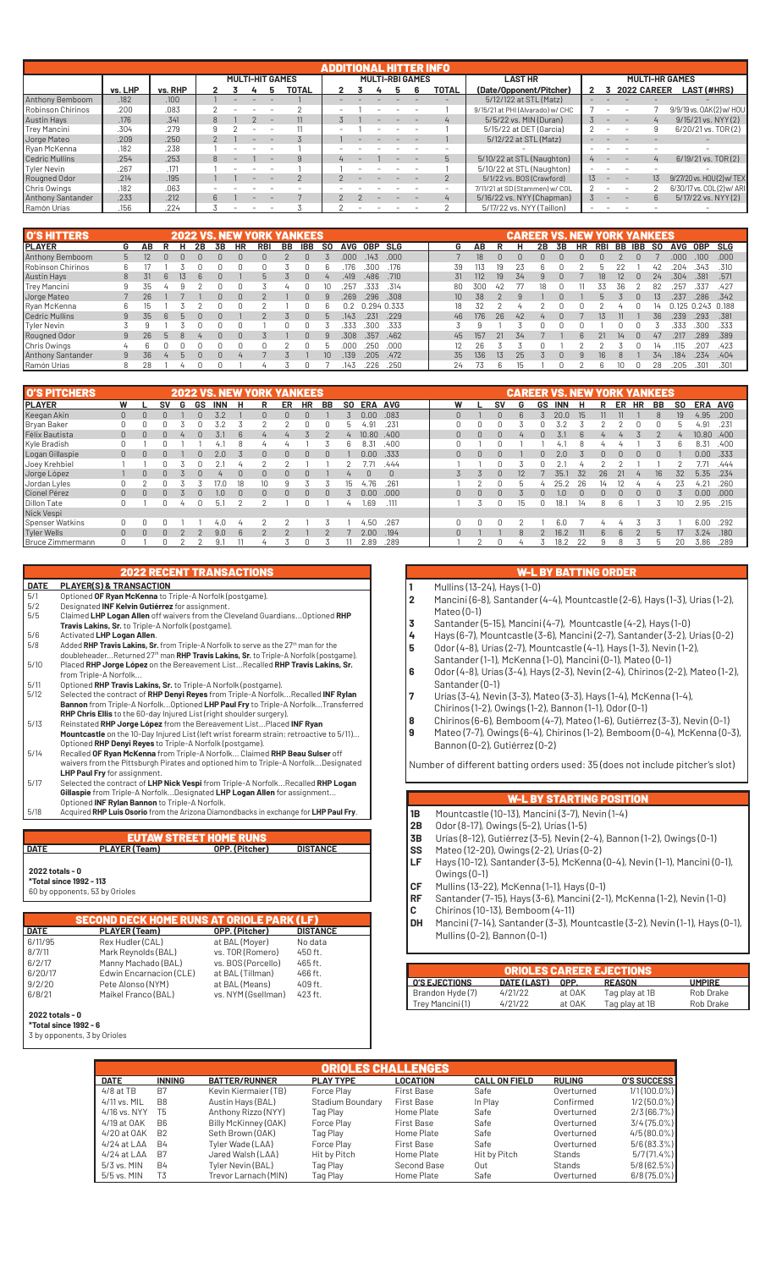|                          |         |         |  |                        |          | ADDITIONAL HITT |  |                        |       |                                  |                 |     |                          |         |                           |
|--------------------------|---------|---------|--|------------------------|----------|-----------------|--|------------------------|-------|----------------------------------|-----------------|-----|--------------------------|---------|---------------------------|
|                          |         |         |  | <b>MULTI-HIT GAMES</b> |          |                 |  | <b>MULTI-RBI GAMES</b> |       | <b>LAST HR</b>                   |                 |     | <b>MULTI-HR GAMES</b>    |         |                           |
|                          | vs. LHP | vs. RHP |  |                        | TOTAL    |                 |  |                        | TOTAL | (Date/Opponent/Pitcher)          |                 |     | 2022 CAREER              |         | <b>LAST (#HRS)</b>        |
| <b>Anthony Bemboom</b>   | .182    | .100    |  |                        |          |                 |  |                        |       | 5/12/122 at STL (Matz)           |                 |     |                          |         |                           |
| Robinson Chirinos        | .200    | .083    |  |                        |          |                 |  |                        |       | 9/15/21 at PHI (Alvarado) w/ CHC |                 |     |                          |         | 9/9/19 vs. 0AK(2) w/ HOU  |
| <b>Austin Hays</b>       | .176    | .341    |  |                        |          |                 |  |                        |       | 5/5/22 vs. MIN (Duran)           |                 |     |                          |         | 9/15/21 vs. NYY (2)       |
| Trey Mancini             | .304    | .279    |  |                        |          |                 |  |                        |       | 5/15/22 at DET (García)          |                 |     |                          |         | 6/20/21 vs. TOR(2)        |
| Jorge Mateo              | .209    | .250    |  |                        |          |                 |  |                        |       | 5/12/22 at STL (Matz)            |                 |     |                          |         |                           |
| Ryan McKenna             | .182    | .238    |  |                        |          |                 |  |                        |       |                                  |                 |     |                          |         |                           |
| <b>Cedric Mullins</b>    | .254    | .253    |  |                        | $\alpha$ |                 |  |                        | 5     | 5/10/22 at STL (Naughton)        |                 |     |                          |         | 6/19/21 vs. TOR(2)        |
| Tyler Nevin              | .267    | .171    |  |                        |          |                 |  |                        |       | 5/10/22 at STL (Naughton)        |                 |     |                          |         |                           |
| Rougned Odor             | .214    | .195    |  |                        |          |                 |  |                        |       | 5/1/22 vs. BOS (Crawford)        | 13 <sup>7</sup> | $-$ | $\overline{\phantom{a}}$ | $13 \,$ | 9/27/20 vs. HOU(2) w/ TEX |
| Chris Owings             | .182    | .063    |  |                        |          |                 |  |                        |       | 7/11/21 at SD (Stammen) w/ COL   |                 |     |                          |         | 6/30/17 vs. COL(2) w/ ARI |
| <b>Anthony Santander</b> | .233    | .212    |  |                        |          |                 |  |                        |       | 5/16/22 vs. NYY (Chapman)        |                 |     |                          | 6       | 5/17/22 vs. NYY (2)       |
| Ramón Urías              | .156    | .224    |  |                        |          |                 |  |                        |       | 5/17/22 vs. NYY (Taillon)        |                 |     |                          |         |                           |

| <b>O'S HITTERS</b> |   |    |   |   |    |    |           | <b>2022 VS. NEW YORK YANKEES</b> |    |              |                 |            |             |       |                 |     |    | <b>CAREER VS. NEW YORK YANKEES</b> |    |    |    |            |     |     |           |            |                   |            |
|--------------------|---|----|---|---|----|----|-----------|----------------------------------|----|--------------|-----------------|------------|-------------|-------|-----------------|-----|----|------------------------------------|----|----|----|------------|-----|-----|-----------|------------|-------------------|------------|
| <b>IPLAYER</b>     | G | AΒ | R |   | 2Β | 3В | <b>HR</b> | RBI                              | BB | <b>IBB</b>   | <b>SO</b>       | <b>AVG</b> | <b>OBP</b>  | SLG   | G               | AΒ  |    |                                    | 2B | 3B | HR | <b>RBI</b> | BB  | IBB | <b>SO</b> | <b>AVG</b> | <b>OBP</b>        | <b>SLG</b> |
| Anthony Bemboom    | 5 |    |   |   |    | n  |           |                                  |    | <sup>n</sup> |                 | .000       | .143        | .000. |                 | 18  | n  |                                    |    |    |    |            |     |     |           | .000       | $100-$            | .000       |
| Robinson Chirinos  | 6 |    |   |   |    |    |           |                                  |    |              |                 | 176        | 300         | .176  | 39              | 113 | 19 |                                    |    |    |    |            |     |     | 42        | 204        | .343              | .310       |
| <b>Austin Hays</b> | 8 |    |   |   |    |    |           |                                  |    | $\cap$       |                 | .419       | .486        | .710  | 31              | 112 | 19 | 34                                 |    |    |    |            | 12  |     | 24        | .304       | .381              | .571       |
| Trey Mancini       |   | 35 |   |   |    |    |           |                                  |    |              | 10              | 257        | .333        | .314  | 80              | 300 | 42 |                                    |    |    |    |            | 36. |     | 82        | .257       | .337              | .427       |
| Jorge Mateo        |   | 26 |   |   |    |    |           |                                  |    | n            |                 | .269       | .296        | .308  | 10 <sup>1</sup> | 38  |    |                                    |    |    |    |            |     |     |           | 237        | .286              | .342       |
| Ryan McKenna       | 6 | 15 |   |   |    |    |           |                                  |    |              |                 | በ ን        | 0.294 0.333 |       | 18              | 32  |    |                                    |    |    |    |            |     |     | 14        |            | 0.125 0.243 0.188 |            |
| Cedric Mullins     | 9 | 35 |   |   |    |    |           |                                  |    | n            |                 | .143       | .231        | .229  | 46              | 176 | 26 | 42                                 |    |    |    |            |     |     | 36        | .239       | .293              | .381       |
| Tyler Nevin        |   |    |   |   |    |    |           |                                  |    |              |                 | 333        | 300         | .333  |                 |     |    |                                    |    |    |    |            |     |     |           | 333        | .300              | .333       |
| Rougned Odor       | 9 | 26 |   | 8 |    |    |           |                                  |    | n            |                 | .308       | .357        | .462  | 45              | 157 | 21 | 34                                 |    |    |    |            | 14  |     | 47        | .217       | 289               | .389       |
| Chris Owings       | 4 |    |   |   |    |    |           |                                  |    |              |                 |            | 250         | .000  | 12              | 26  |    |                                    |    |    |    |            |     |     | 14        | 115        | 207               | .423       |
| Anthony Santander  | 9 | 36 |   | h |    |    |           |                                  |    |              | 10 <sup>1</sup> | .139       | .205        | .472  | 35              | 136 | 13 | 25                                 |    |    |    | 'R         |     |     | 34        | .184       | .234              | .404       |
| Ramón Urías        | 8 | 28 |   | ப |    |    |           |                                  |    |              |                 | .143       | 226         | .250  | 24              |     |    |                                    |    |    |    |            |     |     | 28        | .205       | 301               | .301       |

| <b>O'S PITCHERS</b> |              |          |        |   | <b>2022 VS.</b> |                  |          | . NEW YORK YANKEES |          |           |           |           |            |            |  |          |              |          | <b>CAREER</b> |    | VS.           | <b>NEW</b> | <b>YORK</b> |             |           | <b>YANKEES</b> |     |                   |      |
|---------------------|--------------|----------|--------|---|-----------------|------------------|----------|--------------------|----------|-----------|-----------|-----------|------------|------------|--|----------|--------------|----------|---------------|----|---------------|------------|-------------|-------------|-----------|----------------|-----|-------------------|------|
| <b>IPLAYER</b>      | W            |          | sv     | G | GS              | INN              |          |                    | ER       | <b>HR</b> | <b>BB</b> | <b>SO</b> | <b>ERA</b> | <b>AVG</b> |  | W        |              | sv       | G             | GS | <b>INN</b>    | н          | R           | ER          | <b>HR</b> | BB             | SO. | ERA AVG           |      |
| Keegan Akin         | $\mathbf{0}$ |          |        |   |                 |                  |          |                    | $\Omega$ |           |           |           | 0.00       | .083       |  | O        |              | $\Omega$ | $\mathsf{6}$  |    | 20.0          | 15         |             |             |           |                | 19  | 4.95              | .200 |
| Bryan Baker         | 0            |          |        |   |                 |                  |          |                    |          |           |           | h         | .91        | .231       |  |          |              |          |               |    | てつ            |            |             |             |           |                | b   | 4.91              | .231 |
| Félix Bautista      | $\mathbf{0}$ |          |        |   |                 | 3.1              | 6        |                    |          |           |           |           | 10.80      | .400       |  | 0        | $\mathbf{0}$ | $\cap$   |               |    | 3.1           |            |             |             |           |                |     | 10.80             | .400 |
| Kyle Bradish        | 0            |          |        |   |                 | 4.,              |          |                    |          |           |           |           | 8.31       | .400       |  |          |              |          |               |    | 4.            |            |             |             |           |                | h   | 8.31              | .400 |
| Logan Gillaspie     | $\mathbf{0}$ |          |        |   | $\Omega$        | 2.0              |          | 0.                 | $\Omega$ | $\Omega$  | $\Omega$  |           | 0.00       | .333       |  | $\Omega$ | $\Omega$     | $\Omega$ |               |    | 2.0           |            | 0           | $\Omega$    | $\Omega$  | $\Omega$       |     | 0.00 <sub>1</sub> | .333 |
| Joey Krehbiel       |              |          |        |   |                 |                  |          |                    |          |           |           |           |            | .444       |  |          |              | n        |               |    |               |            |             |             |           |                |     | 7.71              | .444 |
| Jorge López         |              |          |        |   |                 |                  | $\Omega$ |                    | $\Omega$ |           |           |           |            | $\Omega$   |  |          |              | $\Omega$ | 12            |    | 35.           | 32         | 26          |             |           | 16             | 32  | 5.35              | .234 |
| Jordan Lyles        | 0            |          |        |   |                 |                  | 18       | 10                 |          |           |           | IЬ        | .76        | .261       |  |          |              |          | h             |    | 25.           | 26         | 14          |             |           |                | 23  | 4.21              | .260 |
| Cionel Pérez        | $\Omega$     |          |        |   |                 | 1.0 <sub>1</sub> | $\Omega$ | n.                 | n.       | n.        | U         |           | 0.00       | .000       |  | $\Omega$ | $\Omega$     | n.       |               |    | $1.0^{\circ}$ |            | n           | n.          | n         | $\Box$         |     | 0.00 <sub>1</sub> | .000 |
| <b>Dillon Tate</b>  | 0            |          |        |   |                 | 5.7              |          |                    |          |           |           |           | .69        | .111       |  |          |              |          | 15            |    | 18.           | 14         |             | Բ           |           |                | 10  | 2.95              | .215 |
| Nick Vespi          |              |          |        |   |                 |                  |          |                    |          |           |           |           |            |            |  |          |              |          |               |    |               |            |             |             |           |                |     |                   |      |
| Spenser Watkins     | 0            |          |        |   |                 | 4.0              |          |                    |          |           |           |           | 4.50       | .267       |  |          |              |          |               |    | 6.0           |            |             |             |           |                |     | 6.00              | .292 |
| <b>Tyler Wells</b>  | $\Omega$     | $\Omega$ | $\cap$ |   |                 | 9.0              | 6        |                    |          |           |           |           | 2.00       | .194       |  |          |              |          | 8             |    | 16.2          | 11         | 6           | $6^{\circ}$ |           | $\mathbf{h}$   | 17  | 3.24              | .180 |
| Bruce Zimmermann    | n.           |          |        |   |                 | 9.1              |          | 4                  |          |           |           |           | 2.89       | .289       |  |          |              | n.       |               |    | 18.2          |            |             | 8           |           |                | 20  | 3.86              | .289 |

| <b>PLAYER(S) &amp; TRANSACTION</b><br>Optioned OF Ryan McKenna to Triple-A Norfolk (postgame).<br>Designated INF Kelvin Gutiérrez for assignment.<br>Claimed LHP Logan Allen off waivers from the Cleveland Guardians Optioned RHP<br>Travis Lakins, Sr. to Triple-A Norfolk (postgame).<br>Activated LHP Logan Allen.<br>Added RHP Travis Lakins, Sr. from Triple-A Norfolk to serve as the 27 <sup>th</sup> man for the<br>doubleheaderReturned 27 <sup>th</sup> man RHP Travis Lakins, Sr. to Triple-A Norfolk (postgame).<br>Placed RHP Jorge López on the Bereavement ListRecalled RHP Travis Lakins, Sr.<br>from Triple-A Norfolk<br>Optioned RHP Travis Lakins, Sr. to Triple-A Norfolk (postgame).<br>Selected the contract of RHP Denyi Reyes from Triple-A NorfolkRecalled INF Rylan<br>Bannon from Triple-A NorfolkOptioned LHP Paul Fry to Triple-A NorfolkTransferred<br>RHP Chris Ellis to the 60-day Injured List (right shoulder surgery).<br>Reinstated RHP Jorge López from the Bereavement ListPlaced INF Ryan | Mountcastle on the 10-Day Injured List (left wrist forearm strain; retroactive to 5/11) |                                                  |
|-----------------------------------------------------------------------------------------------------------------------------------------------------------------------------------------------------------------------------------------------------------------------------------------------------------------------------------------------------------------------------------------------------------------------------------------------------------------------------------------------------------------------------------------------------------------------------------------------------------------------------------------------------------------------------------------------------------------------------------------------------------------------------------------------------------------------------------------------------------------------------------------------------------------------------------------------------------------------------------------------------------------------------------|-----------------------------------------------------------------------------------------|--------------------------------------------------|
|                                                                                                                                                                                                                                                                                                                                                                                                                                                                                                                                                                                                                                                                                                                                                                                                                                                                                                                                                                                                                                   |                                                                                         |                                                  |
|                                                                                                                                                                                                                                                                                                                                                                                                                                                                                                                                                                                                                                                                                                                                                                                                                                                                                                                                                                                                                                   |                                                                                         |                                                  |
|                                                                                                                                                                                                                                                                                                                                                                                                                                                                                                                                                                                                                                                                                                                                                                                                                                                                                                                                                                                                                                   |                                                                                         |                                                  |
|                                                                                                                                                                                                                                                                                                                                                                                                                                                                                                                                                                                                                                                                                                                                                                                                                                                                                                                                                                                                                                   |                                                                                         |                                                  |
|                                                                                                                                                                                                                                                                                                                                                                                                                                                                                                                                                                                                                                                                                                                                                                                                                                                                                                                                                                                                                                   |                                                                                         |                                                  |
|                                                                                                                                                                                                                                                                                                                                                                                                                                                                                                                                                                                                                                                                                                                                                                                                                                                                                                                                                                                                                                   |                                                                                         |                                                  |
|                                                                                                                                                                                                                                                                                                                                                                                                                                                                                                                                                                                                                                                                                                                                                                                                                                                                                                                                                                                                                                   |                                                                                         |                                                  |
|                                                                                                                                                                                                                                                                                                                                                                                                                                                                                                                                                                                                                                                                                                                                                                                                                                                                                                                                                                                                                                   |                                                                                         |                                                  |
|                                                                                                                                                                                                                                                                                                                                                                                                                                                                                                                                                                                                                                                                                                                                                                                                                                                                                                                                                                                                                                   |                                                                                         |                                                  |
|                                                                                                                                                                                                                                                                                                                                                                                                                                                                                                                                                                                                                                                                                                                                                                                                                                                                                                                                                                                                                                   |                                                                                         |                                                  |
|                                                                                                                                                                                                                                                                                                                                                                                                                                                                                                                                                                                                                                                                                                                                                                                                                                                                                                                                                                                                                                   |                                                                                         |                                                  |
|                                                                                                                                                                                                                                                                                                                                                                                                                                                                                                                                                                                                                                                                                                                                                                                                                                                                                                                                                                                                                                   |                                                                                         |                                                  |
|                                                                                                                                                                                                                                                                                                                                                                                                                                                                                                                                                                                                                                                                                                                                                                                                                                                                                                                                                                                                                                   |                                                                                         |                                                  |
|                                                                                                                                                                                                                                                                                                                                                                                                                                                                                                                                                                                                                                                                                                                                                                                                                                                                                                                                                                                                                                   |                                                                                         |                                                  |
|                                                                                                                                                                                                                                                                                                                                                                                                                                                                                                                                                                                                                                                                                                                                                                                                                                                                                                                                                                                                                                   |                                                                                         |                                                  |
| Optioned RHP Denyi Reyes to Triple-A Norfolk (postgame).                                                                                                                                                                                                                                                                                                                                                                                                                                                                                                                                                                                                                                                                                                                                                                                                                                                                                                                                                                          |                                                                                         |                                                  |
| Recalled OF Ryan McKenna from Triple-A Norfolk Claimed RHP Beau Sulser off                                                                                                                                                                                                                                                                                                                                                                                                                                                                                                                                                                                                                                                                                                                                                                                                                                                                                                                                                        |                                                                                         |                                                  |
| waivers from the Pittsburgh Pirates and optioned him to Triple-A NorfolkDesignated                                                                                                                                                                                                                                                                                                                                                                                                                                                                                                                                                                                                                                                                                                                                                                                                                                                                                                                                                |                                                                                         |                                                  |
| LHP Paul Fry for assignment.                                                                                                                                                                                                                                                                                                                                                                                                                                                                                                                                                                                                                                                                                                                                                                                                                                                                                                                                                                                                      |                                                                                         |                                                  |
| Selected the contract of LHP Nick Vespi from Triple-A NorfolkRecalled RHP Logan                                                                                                                                                                                                                                                                                                                                                                                                                                                                                                                                                                                                                                                                                                                                                                                                                                                                                                                                                   |                                                                                         |                                                  |
| Gillaspie from Triple-A NorfolkDesignated LHP Logan Allen for assignment                                                                                                                                                                                                                                                                                                                                                                                                                                                                                                                                                                                                                                                                                                                                                                                                                                                                                                                                                          |                                                                                         |                                                  |
| Optioned INF Rylan Bannon to Triple-A Norfolk.                                                                                                                                                                                                                                                                                                                                                                                                                                                                                                                                                                                                                                                                                                                                                                                                                                                                                                                                                                                    |                                                                                         |                                                  |
| Acquired RHP Luis Osorio from the Arizona Diamondbacks in exchange for LHP Paul Fry.                                                                                                                                                                                                                                                                                                                                                                                                                                                                                                                                                                                                                                                                                                                                                                                                                                                                                                                                              |                                                                                         |                                                  |
|                                                                                                                                                                                                                                                                                                                                                                                                                                                                                                                                                                                                                                                                                                                                                                                                                                                                                                                                                                                                                                   |                                                                                         |                                                  |
|                                                                                                                                                                                                                                                                                                                                                                                                                                                                                                                                                                                                                                                                                                                                                                                                                                                                                                                                                                                                                                   | <b>EUTAW STREET HOME RUNS</b>                                                           |                                                  |
| <b>PLAYER (Team)</b>                                                                                                                                                                                                                                                                                                                                                                                                                                                                                                                                                                                                                                                                                                                                                                                                                                                                                                                                                                                                              | OPP. (Pitcher)                                                                          | <b>DISTANCE</b>                                  |
|                                                                                                                                                                                                                                                                                                                                                                                                                                                                                                                                                                                                                                                                                                                                                                                                                                                                                                                                                                                                                                   |                                                                                         |                                                  |
| 2022 totals - 0                                                                                                                                                                                                                                                                                                                                                                                                                                                                                                                                                                                                                                                                                                                                                                                                                                                                                                                                                                                                                   |                                                                                         |                                                  |
| *Total since 1992 - 113                                                                                                                                                                                                                                                                                                                                                                                                                                                                                                                                                                                                                                                                                                                                                                                                                                                                                                                                                                                                           |                                                                                         |                                                  |
|                                                                                                                                                                                                                                                                                                                                                                                                                                                                                                                                                                                                                                                                                                                                                                                                                                                                                                                                                                                                                                   |                                                                                         |                                                  |
| 60 by opponents, 53 by Orioles                                                                                                                                                                                                                                                                                                                                                                                                                                                                                                                                                                                                                                                                                                                                                                                                                                                                                                                                                                                                    |                                                                                         |                                                  |
|                                                                                                                                                                                                                                                                                                                                                                                                                                                                                                                                                                                                                                                                                                                                                                                                                                                                                                                                                                                                                                   |                                                                                         |                                                  |
|                                                                                                                                                                                                                                                                                                                                                                                                                                                                                                                                                                                                                                                                                                                                                                                                                                                                                                                                                                                                                                   |                                                                                         |                                                  |
| PLAYER (Team)                                                                                                                                                                                                                                                                                                                                                                                                                                                                                                                                                                                                                                                                                                                                                                                                                                                                                                                                                                                                                     | OPP. (Pitcher)                                                                          | <b>DISTANCE</b>                                  |
| Rex Hudler (CAL)                                                                                                                                                                                                                                                                                                                                                                                                                                                                                                                                                                                                                                                                                                                                                                                                                                                                                                                                                                                                                  | at BAL (Moyer)                                                                          | No data                                          |
| Mark Reynolds (BAL)                                                                                                                                                                                                                                                                                                                                                                                                                                                                                                                                                                                                                                                                                                                                                                                                                                                                                                                                                                                                               | vs. TOR (Romero)                                                                        | 450 ft.                                          |
| Manny Machado (BAL)                                                                                                                                                                                                                                                                                                                                                                                                                                                                                                                                                                                                                                                                                                                                                                                                                                                                                                                                                                                                               | vs. BOS (Porcello)                                                                      | 465 ft.                                          |
| Edwin Encarnacion (CLE)                                                                                                                                                                                                                                                                                                                                                                                                                                                                                                                                                                                                                                                                                                                                                                                                                                                                                                                                                                                                           | at BAL (Tillman)                                                                        | 466 ft.                                          |
| Pete Alonso (NYM)                                                                                                                                                                                                                                                                                                                                                                                                                                                                                                                                                                                                                                                                                                                                                                                                                                                                                                                                                                                                                 | at BAL (Means)                                                                          | 409 ft.                                          |
| Maikel Franco (BAL)                                                                                                                                                                                                                                                                                                                                                                                                                                                                                                                                                                                                                                                                                                                                                                                                                                                                                                                                                                                                               | vs. NYM (Gsellman)                                                                      | 423 ft.                                          |
|                                                                                                                                                                                                                                                                                                                                                                                                                                                                                                                                                                                                                                                                                                                                                                                                                                                                                                                                                                                                                                   |                                                                                         | <b>SECOND DECK HOME RUNS AT ORIOLE PARK (LF)</b> |

### **2022 totals - 0**

**\*Total since 1992 - 6** 3 by opponents, 3 by Orioles

### W-L BY BATTING ORDER

- **1** Mullins (13-24), Hays (1-0)
- **2** Mancini (6-8), Santander (4-4), Mountcastle (2-6), Hays (1-3), Urías (1-2), Mateo (0-1)
- **3** Santander (5-15), Mancini (4-7), Mountcastle (4-2), Hays (1-0)
- **4** Hays (6-7), Mountcastle (3-6), Mancini (2-7), Santander (3-2), Urías (0-2)
- **5** Odor (4-8), Urías (2-7), Mountcastle (4-1), Hays (1-3), Nevin (1-2), Santander (1-1), McKenna (1-0), Mancini (0-1), Mateo (0-1)
- **6** Odor (4-8), Urías (3-4), Hays (2-3), Nevin (2-4), Chirinos (2-2), Mateo (1-2), Santander (0-1)
- **7** Urías (3-4), Nevin (3-3), Mateo (3-3), Hays (1-4), McKenna (1-4),
- Chirinos (1-2), Owings (1-2), Bannon (1-1), Odor (0-1)
- **8** Chirinos (6–6), Bemboom (4–7), Mateo (1–6), Gutiérrez (3–3), Nevin (0–1)<br>**8** Mateo (7–7), Owings (6–4), Chirinos (1–2), Bemboom (0–4), McKenna (0–1 **9** Mateo (7-7), Owings (6-4), Chirinos (1-2), Bemboom (0-4), McKenna (0-3),
- Bannon (0-2), Gutiérrez (0-2)

Number of different batting orders used: 35 (does not include pitcher's slot)

### W-L BY STARTING POSITION

- **1B** Mountcastle (10-13), Mancini (3-7), Nevin (1-4)
- **2B** Odor (8-17), Owings (5-2), Urías (1-5)
- **3B** Urías (8-12), Gutiérrez (3-5), Nevin (2-4), Bannon (1-2), Owings (0-1)<br>**SS** Mateo (12-20), Owings (2-2), Urías (0-2)
- 
- **SS** Mateo (12-20), Owings (2-2), Urías (0-2)<br>**LF** Hays (10-12), Santander (3-5), McKenna **LF** Hays (10-12), Santander (3-5), McKenna (0-4), Nevin (1-1), Mancini (0-1), Owings (0-1)
- **CF** Mullins (13-22), McKenna (1-1), Hays (0-1)
- **RF** Santander (7-15), Hays (3-6), Mancini (2-1), McKenna (1-2), Nevin (1-0)
- **C** Chirinos (10-13), Bemboom (4-11)
- **DH** Mancini (7-14), Santander (3-3), Mountcastle (3-2), Nevin (1-1), Hays (0-1), Mullins (0-2), Bannon (0-1)

| DATE (LAST) | OPP.   | <b>REASON</b>  | <b>UMPIRE</b>                   |
|-------------|--------|----------------|---------------------------------|
| 4/21/22     | at OAK | Tag play at 1B | Rob Drake                       |
| 4/21/22     | at OAK | Tag play at 1B | Rob Drake                       |
|             |        |                | <b>ORIOLES CAREER EJECTIONS</b> |

|               |                |                      | <b>ORIOLES CHALLENGES</b> |                   |                      |               |                    |
|---------------|----------------|----------------------|---------------------------|-------------------|----------------------|---------------|--------------------|
| <b>DATE</b>   | <b>INNING</b>  | <b>BATTER/RUNNER</b> | <b>PLAY TYPE</b>          | <b>LOCATION</b>   | <b>CALL ON FIELD</b> | <b>RULING</b> | <b>O'S SUCCESS</b> |
| $4/8$ at TB   | B7             | Kevin Kiermaier (TB) | Force Play                | <b>First Base</b> | Safe                 | Overturned    | $1/1(100.0\%)$     |
| 4/11 vs. MIL  | B <sub>8</sub> | Austin Hays (BAL)    | Stadium Boundary          | <b>First Base</b> | In Play              | Confirmed     | 1/2 (50.0%)        |
| 4/16 vs. NYY  | T5             | Anthony Rizzo (NYY)  | Tag Play                  | Home Plate        | Safe                 | Overturned    | 2/3(66.7%)         |
| 4/19 at OAK   | B <sub>6</sub> | Billy McKinney (OAK) | Force Play                | <b>First Base</b> | Safe                 | Overturned    | $3/4(75.0\%)$      |
| 4/20 at OAK   | <b>B2</b>      | Seth Brown (OAK)     | Tag Play                  | Home Plate        | Safe                 | Overturned    | $4/5(80.0\%)$      |
| $4/24$ at LAA | <b>B4</b>      | Tyler Wade (LAA)     | Force Play                | <b>First Base</b> | Safe                 | Overturned    | $5/6(83.3\%)$      |
| $4/24$ at LAA | B7             | Jared Walsh (LAA)    | Hit by Pitch              | Home Plate        | Hit by Pitch         | Stands        | 5/7(71.4%          |
| 5/3 vs. MIN   | <b>B4</b>      | Tyler Nevin (BAL)    | Tag Play                  | Second Base       | Out                  | Stands        | $5/8(62.5\%)$      |
| 5/5 vs. MIN   | T <sub>3</sub> | Trevor Larnach (MIN) | Tag Play                  | Home Plate        | Safe                 | Overturned    | 6/8 (75.0%)        |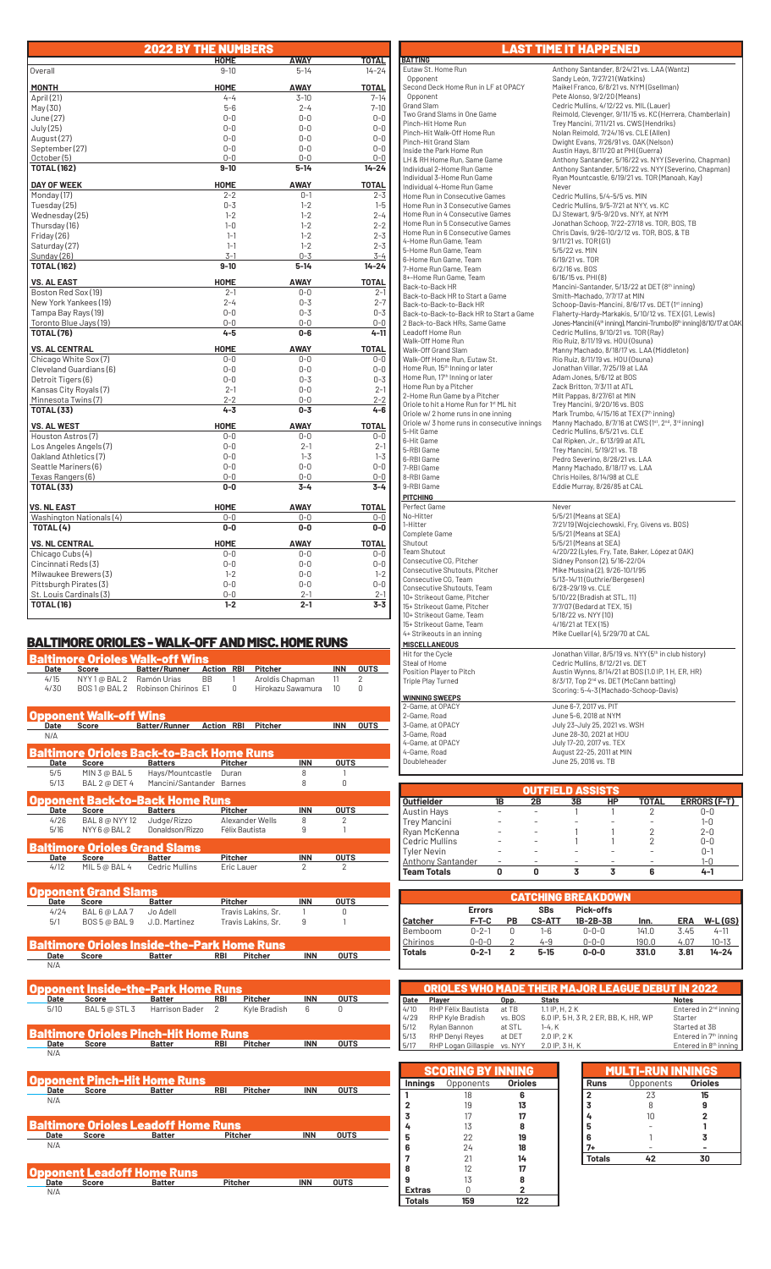|                                         | <b>2022 BY THE NUMBERS</b> |                    |                    |
|-----------------------------------------|----------------------------|--------------------|--------------------|
|                                         | <b>HOME</b>                | AWAY               | TOTAL              |
| Overall                                 | $9 - 10$                   | $5 - 14$           | $14 - 24$          |
| <b>MONTH</b>                            | HOME                       | <b>AWAY</b>        | <b>TOTAL</b>       |
| April (21)                              | $4 - 4$                    | $3 - 10$           | $7 - 14$           |
| May(30)                                 | $5 - 6$                    | $2 - 4$            | $7 - 10$           |
| June (27)                               | $0 - 0$                    | $0 - 0$            | $0-0$              |
| July (25)                               | $0 - 0$                    | $0 - 0$            | $0 - 0$            |
| August (27)                             | $0 - 0$                    | $0 - 0$            | $0 - 0$            |
| September (27)                          | $0 - 0$                    | $0 - 0$            | $0 - 0$            |
| October (5)                             | $0 - 0$                    | $0 - 0$            | $0 - 0$            |
| <b>TOTAL (162)</b>                      | $9 - 10$                   | $5 - 14$           | $14 - 24$          |
| <b>DAY OF WEEK</b>                      | <b>HOME</b>                | <b>AWAY</b>        | <b>TOTAL</b>       |
| Monday (17)                             | $2 - 2$                    | $0 - 1$            | $2 - 3$            |
| Tuesday (25)                            | $0 - 3$                    | $1 - 2$            | $1 - 5$            |
| Wednesday (25)                          | $1 - 2$                    | $1 - 2$            | $2 - 4$            |
| Thursday (16)                           | $1 - 0$                    | $1 - 2$            | $2 - 2$            |
| Friday (26)                             | $1 - 1$                    | $1 - 2$            | $2 - 3$            |
| Saturday (27)                           | $1 - 1$                    | $1 - 2$            | $2 - 3$            |
| Sunday (26)                             | $3 - 1$                    | $0 - 3$            | $3 - 4$            |
| <b>TOTAL (162)</b>                      | $9 - 10$                   | $5 - 14$           | $14 - 24$          |
| <b>VS. AL EAST</b>                      | <b>HOME</b>                | <b>AWAY</b>        | <b>TOTAL</b>       |
| Boston Red Sox (19)                     | $2 - 1$                    | $0-0$              | $2 - 1$            |
| New York Yankees (19)                   | $2 - 4$                    | $0 - 3$            | $2 - 7$            |
| Tampa Bay Rays (19)                     | $0 - 0$                    | $0 - 3$            | $0 - 3$            |
| Toronto Blue Jays (19)                  | $0 - 0$<br>$4 - 5$         | $0 - 0$<br>$0 - 6$ | $0-0$<br>$4 - 11$  |
| <b>TOTAL (76)</b>                       |                            |                    |                    |
| <b>VS. AL CENTRAL</b>                   | <b>HOME</b>                | AWAY               | <b>TOTAL</b>       |
| Chicago White Sox (7)                   | $0 - 0$                    | $0 - 0$            | $0 - 0$            |
| Cleveland Guardians (6)                 | $0 - 0$                    | $0 - 0$            | $0 - 0$            |
| Detroit Tigers (6)                      | $0 - 0$                    | $0 - 3$            | $0 - 3$            |
| Kansas City Royals (7)                  | $2 - 1$                    | $0 - 0$            | $2 - 1$            |
| Minnesota Twins(7)<br><b>TOTAL (33)</b> | $2 - 2$<br>$4 - 3$         | $0 - 0$<br>$0 - 3$ | $2 - 2$<br>$4 - 6$ |
| <b>VS. AL WEST</b>                      | <b>HOME</b>                | <b>AWAY</b>        | <b>TOTAL</b>       |
| Houston Astros (7)                      | $0 - 0$                    | $0-0$              | $0-0$              |
| Los Angeles Angels (7)                  | $0 - 0$                    | $2 - 1$            | $2 - 1$            |
| Oakland Athletics (7)                   | $0 - 0$                    | $1 - 3$            | $1 - 3$            |
| Seattle Mariners (6)                    | $0 - 0$                    | $0 - 0$            | $0 - 0$            |
| Texas Rangers (6)                       | $0 - 0$                    | $0 - 0$            | $0-0$              |
| <b>TOTAL (33)</b>                       | $0-0$                      | $3 - 4$            | $3 - 4$            |
| <b>VS. NL EAST</b>                      | <b>HOME</b>                | <b>AWAY</b>        | <b>TOTAL</b>       |
| Washington Nationals (4)                | $0-0$                      | $0-0$              | $0-0$              |
| TOTAL (4)                               | $0-0$                      | $0-0$              | $0-0$              |
| <b>VS. NL CENTRAL</b>                   | <b>HOME</b>                | <b>AWAY</b>        | <b>TOTAL</b>       |
| Chicago Cubs (4)                        | $0 - 0$                    | $0 - 0$            | $0 - 0$            |
| Cincinnati Reds(3)                      | $0 - 0$                    | $0 - 0$            | $0 - 0$            |
| Milwaukee Brewers (3)                   | $1 - 2$                    | $0 - 0$            | $1 - 2$            |
| Pittsburgh Pirates (3)                  | $0 - 0$                    | $0 - 0$            | $0 - 0$            |
| St. Louis Cardinals (3)                 | $0 - 0$                    | $2 - 1$            | $2 - 1$            |
| <b>TOTAL (16)</b>                       | $1 - 2$                    | $2 - 1$            | $3 - 3$            |

### BALTIMORE ORIOLES - WALK-OFF AND MISC. HOME RUNS

|                    |                             | Baltimore Orioles Walk-off Wins             |                   |                    |                   |                |             |
|--------------------|-----------------------------|---------------------------------------------|-------------------|--------------------|-------------------|----------------|-------------|
| Date               | Score                       | <b>Batter/Runner</b>                        | <b>Action RBI</b> |                    | Pitcher           | <b>INN</b>     | <b>OUTS</b> |
| 4/15               | NYY 1@ BAL 2                | Ramón Urías                                 | BB                | 1                  | Aroldis Chapman   | 11             | 2           |
| 4/30               | BOS 1@ BAL 2                | Robinson Chirinos E1                        |                   | $\mathbf 0$        | Hirokazu Sawamura | 10             | 0           |
|                    |                             |                                             |                   |                    |                   |                |             |
|                    | pponent Walk-off Wins       |                                             |                   |                    |                   |                |             |
| <b>Date</b><br>N/A | <b>Score</b>                | Batter/Runner                               | <b>Action RBI</b> |                    | <b>Pitcher</b>    | <b>INN</b>     | <b>OUTS</b> |
|                    |                             | altimore Orioles Back-to-Back Home Runs     |                   |                    |                   |                |             |
| Date               | Score                       | <b>Batters</b>                              |                   | Pitcher            | <b>INN</b>        | <b>OUTS</b>    |             |
| 5/5                | MIN 3 @ BAL 5               | Hays/Mountcastle                            | Duran             |                    | 8                 | 1              |             |
| 5/13               | BAL 2 @ DET 4               | Mancini/Santander Barnes                    |                   |                    | 8                 | 0              |             |
|                    |                             | pponent Back-to-Back Home Runs              |                   |                    |                   |                |             |
| Date               | Score                       | <b>Batters</b>                              |                   | Pitcher            | <b>INN</b>        | <b>OUTS</b>    |             |
| 4/26               | <b>BAL 8 @ NYY 12</b>       | Judge/Rizzo                                 |                   | Alexander Wells    | 8                 | 2              |             |
| 5/16               | NYY 6 @ BAL 2               | Donaldson/Rizzo                             |                   | Félix Bautista     | 9                 | 1              |             |
|                    |                             | Baltimore Orioles Grand Slams               |                   | Pitcher            | <b>INN</b>        | <b>OUTS</b>    |             |
| Date<br>4/12       | Score<br>MIL 5 @ BAL 4      | <b>Batter</b><br><b>Cedric Mullins</b>      |                   |                    | 2                 | $\overline{2}$ |             |
|                    |                             |                                             |                   | Eric Lauer         |                   |                |             |
|                    | <b>Opponent Grand Slams</b> |                                             |                   |                    |                   |                |             |
| Date               | <b>Score</b>                | <b>Batter</b>                               |                   | <b>Pitcher</b>     | <b>INN</b>        | <b>OUTS</b>    |             |
| 4/24               | BAL 6 @ LAA 7               | Jo Adell                                    |                   | Travis Lakins, Sr. | 1                 | 0              |             |
| 5/1                | BOS 5 @ BAL 9               | J.D. Martinez                               |                   | Travis Lakins, Sr. | 9                 | 1              |             |
|                    |                             | altimore Orioles Inside-the-Park Home Runs¦ |                   |                    |                   |                |             |
| Date               | <b>Score</b>                | <b>Batter</b>                               | <b>RBI</b>        | Pitcher            | <b>INN</b>        | <b>OUTS</b>    |             |
| N/A                |                             |                                             |                   |                    |                   |                |             |
|                    |                             | Opponent Inside-the-Park Home Runs          |                   |                    |                   |                |             |
| Date               | Score                       | Batter                                      | RBI               | Pitcher            | <b>INN</b>        | <b>OUTS</b>    |             |
| 5/10               | BAL 5 @ STL 3               | Harrison Bader                              | $\overline{2}$    | Kyle Bradish       | 6                 | 0              |             |
|                    |                             |                                             |                   |                    |                   |                |             |
|                    |                             | Ialtimore Orioles Pinch-Hit Home Runs       |                   |                    |                   |                |             |
| Date               | <b>Score</b>                | Batter                                      | RBI               | <b>Pitcher</b>     | <b>INN</b>        | <b>OUTS</b>    |             |
| N/A                |                             |                                             |                   |                    |                   |                |             |
|                    |                             | <b>Opponent Pinch-Hit Home Runs</b>         |                   |                    |                   |                |             |
| <b>Date</b>        | <b>Score</b>                | <b>Batter</b>                               | <b>RBI</b>        | <b>Pitcher</b>     | <b>INN</b>        | <b>OUTS</b>    |             |
| N/A                |                             |                                             |                   |                    |                   |                |             |
|                    |                             | laltimore Orioles Leadoff Home Runs         |                   |                    |                   |                |             |
| Date               | <b>Score</b>                | <b>Batter</b>                               |                   | <b>Pitcher</b>     | <b>INN</b>        | <b>OUTS</b>    |             |
| N/A                |                             |                                             |                   |                    |                   |                |             |
|                    |                             |                                             |                   |                    |                   |                |             |
|                    |                             |                                             |                   |                    |                   |                |             |

**Opponent Leadoff Home Runs**<br> **Date** Score Batter **Pitcher** INN OUTS

N/A

**BATTING**<br>Eutaw St. Home Run Eutaw St. Home Run **Anthony Santander, 8/24/21 vs. LAA (Wantz)**<br>
Opponent Component Sandy León. 7/27/21 (Watkins) Opponent Sandy León, 7/27/21 (Watkins) Second Deck Home Run in LF at OPACY<br>
Opponent Pete Alonso, 9/2/20 (Means)<br>
Copponent Pete Alonso, 9/2/20 (Means)<br>
Two Grand Slams in One Game Reimold, Clevenger, 9/11/15 vs. KC (Herrera, Chamberlain)<br>
Trey Mancini, 7/11/21 Pinch-Hit Walk-Off Home Run Nolan Reimold, 7/24/16 vs. CLE (Allen) Pinch-Hit Grand Slam Dwight Evans, 7/26/91 vs. OAK (Nelson) Inside the Park Home Run Austin Hays, 8/11/20 at PHI (Guerra) LH & RH Home Run, Same Game Anthony Santander, 5/16/22 vs. NYY (Severino, Chapman) Individual 2-Home Run Game Anthony Santander, 5/16/22 vs. NYY (Severino, Chapman) Individual 3-Home Run Game Ryan Mountcastle, 6/19/21 vs. TOR (Manoah, Kay) Pinch-Hit Grand Siam<br>
Inside the Park Home Run<br>
LH & RH Home Run, Same Game<br>
LH & RH Home Run, Same Game<br>
LH & RH Home Run, Same Game<br>
Anthony Santander, 5/16/22 vs<br>
Individual 3-Home Run Game<br>
Home Run in Consecutive Game Home Run in Consecutive Games Cedric Mullins, 5/4-5/5 vs. MIN Home Run in 3 Consecutive Games Cedric Mullins, 9/5-7/21 at NYY, vs. KC Home Run in 4 Consecutive Games DJ Stewart, 9/5-9/20 vs. NYY, at NYM Home Run in 5 Consecutive Games Jonathan Schoop, 7/22-27/18 vs. TOR, BOS, TB Home Run in 6 Consecutive Games Chris Davis, 9/26-10/2/12 vs. TOR, BOS, & TB 4-Home Run Game, Team 9/11/21 vs. TOR (G1) 5-Home Run Game, Team 5/5/22 vs. MIN 6-Home Run Game, Team 6/19/21 vs. TOR 7-Home Run Game, Team<br>8+-Home Run Game, Team 8+-Home Run Game, Team 6/16/15 vs. PHI (8) Back-to-Back HR Mancini-Santander, 5/13/22 at DET (8<sup>th</sup> inning) Back-to-Back HR to Start a Game Smith-Machado, 7/7/17 at MIN Back-to-Back-to-Back HR Schoop-Davis-Mancini, 8/6/17 vs. DET (1<sup>st</sup> inning) Back-to-Back-to-Back HR to Start a Game Flaherty-Hardy-Markakis, 5/10/12 vs. TEX (G1, Lewis) 2 Back-to-Back HRs, Same Game Jones-Mancini (4th inning), Mancini-Trumbo (6th inning) 8/10/17 at OAK Leadoff Home Run<br>
Walk-Off Home Run<br>
Walk-Off Grand Slam<br>
Walk-Off Grand Slam<br>
Walk-Off Home Run, Eutaw St.<br>
Walk-Off Home Run, Eutaw St.<br>
Walk-Off Home Run, Eutaw St.<br>
Walk-Off Home Run, Eutaw St.<br>
Home Run, IS<sup>th</sup> Inning Walk-Off Grand Slam<br>Walk-Off Home Run, Eutaw St.<br>Home Run, 15<sup>th</sup> Inning or later<br>Home Run, 17<sup>th</sup> Inning or later<br>Home Run by a Pitcher Home Run, 17<sup>th</sup> Inning or later and the Madam Jones, 5/6/12 at BOS<br>Home Run by a Pitcher Zack Britton, 7/3/11 at ATL<br>2-Home Run Game by a Pitcher Mill Pappas, 8/27/61 at MIN 2-Home Run Game by a Pitcher Milt Pappas, 8/27/61 at MIN Oriole to hit a Home Run for 1<sup>st</sup> ML hit Trey Mancini, 9/20/16 vs. BOS<br>Oriole w/ 2 home runs in one inning Mark Trumbo, 4/15/16 at TEX (7<sup>th</sup> inning) Oriole w/ 3 home runs in consecutive innings Manny Machado, 8/7/16 at CWS ( $1^{\text{st}}$ ,  $2^{\text{nd}}$ ,  $3^{\text{rd}}$  inning) 5-Hit Game Cedric Mullins, 6/5/21 vs. CLE 6-Hit Game Cal Ripken, Jr., 6/13/99 at ATL 5-RBI Game Trey Mancini, 5/19/21 vs. TB 6-RBI Game Pedro Severino, 8/26/21 vs. LAA 7-RBI Game Manny Machado, 8/18/17 vs. LAA 8-RBI Game Chris Hoiles, 8/14/98 at CLE 9-RBI Game Eddie Murray, 8/26/85 at CAL  **PITCHING** Perfect Game<br>
No-Hitter<br>
1-Hitter<br>
Complete Game No-Hitter 5/5/21 (Means at SEA) 1-Hitter 7/21/19 (Wojciechowski, Fry, Givens vs. BOS) Complete Game 5/5/21 (Means at SEA) Shutout 5/5/21 (Means at SEA)<br>Team Shutout 6/2012/11 views Fry. Tai Team Shutout 4/20/22 (Lyles, Fry, Tate, Baker, López at OAK) Consecutive CG, Pitcher Sidney Ponson (2), 5/16-22/04 Consecutive Shutouts, Pitcher Mike Mussina (2), 9/26-10/1/95<br>Consecutive CG, Team 5/13-14/11 (Guthrie/Bergesen)<br>Consecutive Shutouts, Team 6/28-29/19 vs. CLE 10+ Strikeout Game, Pitcher 5/10/22 (Bradish at STL, 11) 15+ Strikeout Game, Pitcher 7/7/07 (Bedard at TEX, 15) 10+ Strikeout Game, Team 5/18/22 vs. NYY (10) 15+ Strikeout Game, Team 4/16/21 at TEX (15) 15+ Strikeout Garrie, Team<br>4+ Strikeouts in an inning Mike Cuellar (4), 5/29/70 at CAL  **MISCELLANEOUS** Hit for the Cycle<br>
Steal of Home<br>
Steal of Home<br>
Position Player to Pitch<br>
Position Player to Pitch<br>
Austin Wynns, 8/14/21 at BOS (1.0 IP, 1 H, ER, HR)<br>
Triple Play Turned<br>
Scoring: 5-4-3 (Machado-Schoop-Davis)<br>
Scoring: 5  **WINNING SWEEPS** 2-Game, at OPACY June 6-7, 2017 vs. PIT 2-Game, Road June 5-6, 2018 at NYM 3-Game, at OPACY July 23-July 25, 2021 vs. WSH 3-Game, Road June 28-30, 2021 at HOU 4-Game, at OPACY July 17-20, 2017 vs. TEX 4-Game, Road August 22-25, 2011 at MIN Doubleheader June 25, 2016 vs. TB

LAST TIME IT HAPPENED

|                          |    |    | OUTFIELD ASSISTS |    |       |                    |
|--------------------------|----|----|------------------|----|-------|--------------------|
| <b>Outfielder</b>        | 1B | 2Β | <b>3B</b>        | ΗP | TOTAL | <b>ERRORS (F-T</b> |
| Austin Hays              |    |    |                  |    |       | $0 - 0$            |
| <b>Trey Mancini</b>      |    |    |                  |    |       | $1 - 0$            |
| Ryan McKenna             |    |    |                  |    |       | $2 - 0$            |
| <b>Cedric Mullins</b>    |    |    |                  |    |       | $0 - 0$            |
| <b>Tyler Nevin</b>       |    |    |                  |    |       | $0 - 1$            |
| <b>Anthony Santander</b> |    | -  |                  |    |       | $1 - 0$            |
| <b>Team Totals</b>       |    |    |                  |    |       | $4 - 1$            |

|               |               |           |               | <b>CATCHING BREAKDOWN</b> |       |            |           |
|---------------|---------------|-----------|---------------|---------------------------|-------|------------|-----------|
|               | <b>Errors</b> |           | <b>SBs</b>    | Pick-offs                 |       |            |           |
| Catcher       | $F-T-C$       | <b>PB</b> | <b>CS-ATT</b> | 1B-2B-3B                  | Inn.  | <b>ERA</b> | $W-L(GS)$ |
| Bemboom       | $0 - 2 - 1$   | U         | 1-6           | $0 - 0 - 0$               | 141.0 | 3.45       | $4 - 11$  |
| Chirinos      | $0 - 0 - 0$   |           | $4 - 9$       | $0 - 0 - 0$               | 190.0 | 4.07       | $10 - 13$ |
| <b>Totals</b> | $0 - 2 - 1$   | 2         | $5 - 15$      | $0 - 0 - 0$               | 331.0 | 3.81       | $14 - 24$ |

|      |                     |         | <b>ORIOLES WHO MADE THEIR MAJOR LEAGUE DEBUT IN 2022</b> |                                   |
|------|---------------------|---------|----------------------------------------------------------|-----------------------------------|
| Date | <b>Plaver</b>       | Opp.    | <b>Stats</b>                                             | <b>Notes</b>                      |
| 4/10 | RHP Félix Bautista  | at TB   | $1.1$ IP, H, $2K$                                        | Entered in $2^{nd}$ inning        |
| 4/29 | RHP Kyle Bradish    | vs. BOS | 6.0 IP, 5 H, 3 R, 2 ER, BB, K, HR, WP                    | Starter                           |
| 5/12 | Rylan Bannon        | at STL  | $1-4. K$                                                 | Started at 3B                     |
| 5/13 | RHP Denyi Reyes     | at DET  | 2.0 IP, 2 K                                              | Entered in 7 <sup>th</sup> inning |
| 5/17 | RHP Logan Gillaspie | vs. NYY | 2.0 IP, 3 H, K                                           | Entered in 8 <sup>th</sup> inning |

| <b>SCORING BY INNING</b>                      |  |
|-----------------------------------------------|--|
| <b>Innings</b><br><b>Orioles</b><br>Opponents |  |
| 18<br>6<br>1                                  |  |
| $\overline{2}$<br>13<br>19                    |  |
| $\overline{3}$<br>17<br>17                    |  |
| 4<br>8<br>13                                  |  |
| 5<br>22<br>19                                 |  |
| 6<br>18<br>24                                 |  |
| $\overline{7}$<br>14<br>21                    |  |
| 8<br>17<br>12                                 |  |
| 9<br>8<br>13                                  |  |
| 2<br><b>Extras</b><br>N                       |  |
| 122<br>159<br><b>Totals</b>                   |  |

|               | <b>MULTI-RUN INNINGS</b> |                |
|---------------|--------------------------|----------------|
| <b>Runs</b>   | Opponents                | Orioles        |
| 2             | 23                       | 15             |
| 3             | 8                        | 9              |
|               | 10                       | $\overline{2}$ |
| 5             |                          |                |
| 6             |                          | 3              |
| 7+            |                          |                |
| <b>Totals</b> | 42                       | 30             |